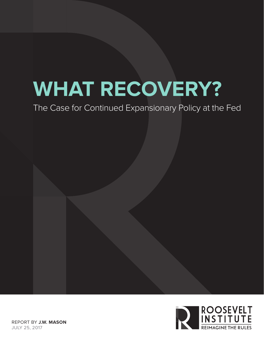# **WHAT RECOVERY?**

The Case for Continued Expansionary Policy at the Fed

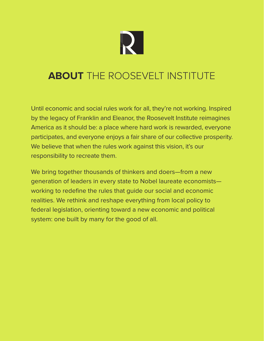

# **ABOUT** THE ROOSEVELT INSTITUTE

Until economic and social rules work for all, they're not working. Inspired by the legacy of Franklin and Eleanor, the Roosevelt Institute reimagines America as it should be: a place where hard work is rewarded, everyone participates, and everyone enjoys a fair share of our collective prosperity. We believe that when the rules work against this vision, it's our responsibility to recreate them.

We bring together thousands of thinkers and doers—from a new generation of leaders in every state to Nobel laureate economists working to redefine the rules that guide our social and economic realities. We rethink and reshape everything from local policy to federal legislation, orienting toward a new economic and political system: one built by many for the good of all.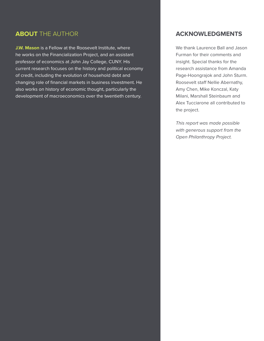#### **ABOUT** THE AUTHOR

**J.W. Mason** is a Fellow at the Roosevelt Institute, where he works on the Financialization Project, and an assistant professor of economics at John Jay College, CUNY. His current research focuses on the history and political economy of credit, including the evolution of household debt and changing role of financial markets in business investment. He also works on history of economic thought, particularly the development of macroeconomics over the twentieth century.

#### **ACKNOWLEDGMENTS**

We thank Laurence Ball and Jason Furman for their comments and insight. Special thanks for the research assistance from Amanda Page-Hoongrajok and John Sturm. Roosevelt staff Nellie Abernathy, Amy Chen, Mike Konczal, Katy Milani, Marshall Steinbaum and Alex Tucciarone all contributed to the project.

*This report was made possible with generous support from the Open Philanthropy Project.*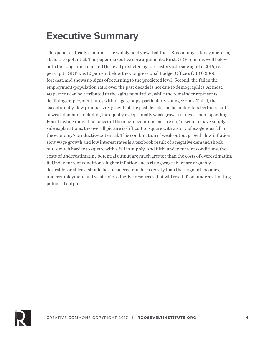# **Executive Summary**

This paper critically examines the widely held view that the U.S. economy is today operating at close to potential. The paper makes five core arguments. First, GDP remains well below both the long-run trend and the level predicted by forecasters a decade ago. In 2016, real per capita GDP was 10 percent below the Congressional Budget Office's (CBO) 2006 forecast, and shows no signs of returning to the predicted level. Second, the fall in the employment-population ratio over the past decade is not due to demographics. At most, 40 percent can be attributed to the aging population, while the remainder represents declining employment rates within age groups, particularly younger ones. Third, the exceptionally slow productivity growth of the past decade can be understood as the result of weak demand, including the equally exceptionally weak growth of investment spending. Fourth, while individual pieces of the macroeconomic picture might seem to have supplyside explanations, the overall picture is difficult to square with a story of exogenous fall in the economy's productive potential. This combination of weak output growth, low inflation, slow wage growth and low interest rates is a textbook result of a negative demand shock, but is much harder to square with a fall in supply. And fifth, under current conditions, the costs of underestimating potential output are much greater than the costs of overestimating it. Under current conditions, higher inflation and a rising wage share are arguably desirable; or at least should be considered much less costly than the stagnant incomes, underemployment and waste of productive resources that will result from underestimating potential output.

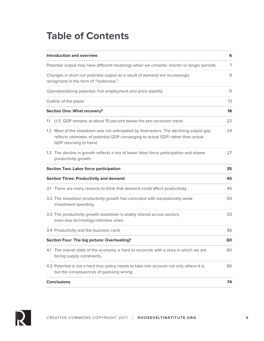## **Table of Contents**

| <b>Introduction and overview</b><br>6                                                    |                                                                                                                                                                                                      |    |  |  |  |  |
|------------------------------------------------------------------------------------------|------------------------------------------------------------------------------------------------------------------------------------------------------------------------------------------------------|----|--|--|--|--|
| Potential output may have different meanings when we consider shorter or longer periods. |                                                                                                                                                                                                      |    |  |  |  |  |
|                                                                                          | Changes in short run potential output as a result of demand are increasingly<br>recognized in the form of "hysteresis."                                                                              | 9  |  |  |  |  |
|                                                                                          | Operationalizing potential: Full employment and price stability                                                                                                                                      | 11 |  |  |  |  |
|                                                                                          | Outline of the paper                                                                                                                                                                                 | 13 |  |  |  |  |
|                                                                                          | <b>Section One: What recovery?</b>                                                                                                                                                                   | 18 |  |  |  |  |
| 1.1                                                                                      | U.S. GDP remains at about 15 percent below the pre-recession trend.                                                                                                                                  | 22 |  |  |  |  |
|                                                                                          | 1.2 Most of the slowdown was not anticipated by forecasters. The declining output gap<br>reflects estimates of potential GDP converging to actual GDP, rather than actual<br>GDP returning to trend. | 24 |  |  |  |  |
|                                                                                          | 1.3 The decline in growth reflects a mix of lower labor force participation and slower<br>productivity growth.                                                                                       | 27 |  |  |  |  |
|                                                                                          | <b>Section Two: Labor force participation</b>                                                                                                                                                        | 35 |  |  |  |  |
|                                                                                          | <b>Section Three: Productivity and demand</b>                                                                                                                                                        | 45 |  |  |  |  |
|                                                                                          | 3.1 There are many reasons to think that demand could affect productivity.                                                                                                                           | 45 |  |  |  |  |
|                                                                                          | 3.2 The slowdown productivity growth has coincided with exceptionally weak<br>investment spending.                                                                                                   | 50 |  |  |  |  |
|                                                                                          | 3.3 The productivity growth slowdown is widely shared across sectors,<br>even less technology-intensive ones.                                                                                        | 53 |  |  |  |  |
|                                                                                          | 3.4 Productivity and the business cycle                                                                                                                                                              | 56 |  |  |  |  |
|                                                                                          | <b>Section Four: The big picture: Overheating?</b>                                                                                                                                                   |    |  |  |  |  |
|                                                                                          | 4.1 The overall state of the economy is hard to reconcile with a story in which we are<br>facing supply constraints.                                                                                 | 60 |  |  |  |  |
|                                                                                          | 4.2 Potential is not a hard line; policy needs to take into account not only where it is,<br>but the consequences of guessing wrong.                                                                 | 66 |  |  |  |  |
|                                                                                          | <b>Conclusions</b>                                                                                                                                                                                   | 74 |  |  |  |  |

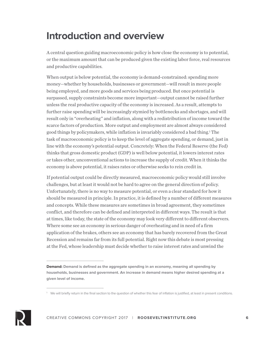# **Introduction and overview**

A central question guiding macroeconomic policy is how close the economy is to potential, or the maximum amount that can be produced given the existing labor force, real resources and productive capabilities.

When output is below potential, the economy is demand-constrained: spending more money—whether by households, businesses or government—will result in more people being employed, and more goods and services being produced. But once potential is surpassed, supply constraints become more important—output cannot be raised further unless the real productive capacity of the economy is increased. As a result, attempts to further raise spending will be increasingly stymied by bottlenecks and shortages, and will result only in "overheating" and inflation, along with a redistribution of income toward the scarce factors of production. More output and employment are almost always considered good things by policymakers, while inflation is invariably considered a bad thing.<sup>1</sup> The task of macroeconomic policy is to keep the level of aggregate spending, or demand, just in line with the economy's potential output. Concretely: When the Federal Reserve (the Fed) thinks that gross domestic product (GDP) is well below potential, it lowers interest rates or takes other, unconventional actions to increase the supply of credit. When it thinks the economy is above potential, it raises rates or otherwise seeks to rein credit in.

If potential output could be directly measured, macroeconomic policy would still involve challenges, but at least it would not be hard to agree on the general direction of policy. Unfortunately, there is no way to measure potential, or even a clear standard for how it should be measured in principle. In practice, it is defined by a number of different measures and concepts. While these measures are sometimes in broad agreement, they sometimes conflict, and therefore can be defined and interpreted in different ways. The result is that at times, like today, the state of the economy may look very different to different observers. Where some see an economy in serious danger of overheating and in need of a firm application of the brakes, others see an economy that has barely recovered from the Great Recession and remains far from its full potential. Right now this debate is most pressing at the Fed, whose leadership must decide whether to raise interest rates and unwind the



**Demand: Demand is defined as the aggregate spending in an economy, meaning all spending by households, businesses and government. An increase in demand means higher desired spending at a given level of income.**

<sup>&</sup>lt;sup>1</sup> We will briefly return in the final section to the question of whether this fear of inflation is justified, at least in present conditions.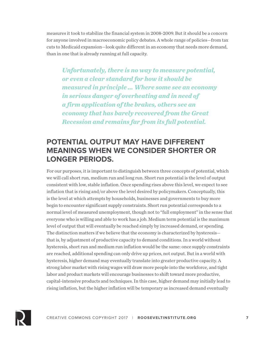measures it took to stabilize the financial system in 2008-2009. But it should be a concern for anyone involved in macroeconomic policy debates. A whole range of policies—from tax cuts to Medicaid expansion—look quite different in an economy that needs more demand, than in one that is already running at full capacity.

*Unfortunately, there is no way to measure potential, or even a clear standard for how it should be measured in principle … Where some see an economy in serious danger of overheating and in need of a firm application of the brakes, others see an economy that has barely recovered from the Great Recession and remains far from its full potential.*

### **POTENTIAL OUTPUT MAY HAVE DIFFERENT MEANINGS WHEN WE CONSIDER SHORTER OR LONGER PERIODS.**

For our purposes, it is important to distinguish between three concepts of potential, which we will call short run, medium run and long run. Short run potential is the level of output consistent with low, stable inflation. Once spending rises above this level, we expect to see inflation that is rising and/or above the level desired by policymakers. Conceptually, this is the level at which attempts by households, businesses and governments to buy more begin to encounter significant supply constraints. Short run potential corresponds to a normal level of measured unemployment, though not to "full employment" in the sense that everyone who is willing and able to work has a job. Medium term potential is the maximum level of output that will eventually be reached simply by increased demand, or spending. The distinction matters if we believe that the economy is characterized by hysteresis that is, by adjustment of productive capacity to demand conditions. In a world without hysteresis, short run and medium run inflation would be the same: once supply constraints are reached, additional spending can only drive up prices, not output. But in a world with hysteresis, higher demand may eventually translate into greater productive capacity. A strong labor market with rising wages will draw more people into the workforce, and tight labor and product markets will encourage businesses to shift toward more productive, capital-intensive products and techniques. In this case, higher demand may initially lead to rising inflation, but the higher inflation will be temporary as increased demand eventually

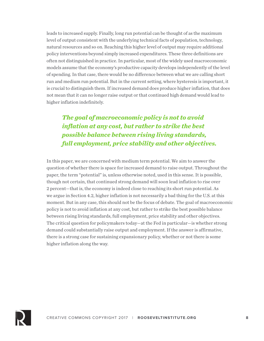leads to increased supply. Finally, long run potential can be thought of as the maximum level of output consistent with the underlying technical facts of population, technology, natural resources and so on. Reaching this higher level of output may require additional policy interventions beyond simply increased expenditures. These three definitions are often not distinguished in practice. In particular, most of the widely used macroeconomic models assume that the economy's productive capacity develops independently of the level of spending. In that case, there would be no difference between what we are calling short run and medium run potential. But in the current setting, where hysteresis is important, it is crucial to distinguish them. If increased demand does produce higher inflation, that does not mean that it can no longer raise output or that continued high demand would lead to higher inflation indefinitely.

*The goal of macroeconomic policy is not to avoid inflation at any cost, but rather to strike the best possible balance between rising living standards, full employment, price stability and other objectives.*

In this paper, we are concerned with medium term potential. We aim to answer the question of whether there is space for increased demand to raise output. Throughout the paper, the term "potential" is, unless otherwise noted, used in this sense. It is possible, though not certain, that continued strong demand will soon lead inflation to rise over 2 percent—that is, the economy is indeed close to reaching its short run potential. As we argue in Section 4.2, higher inflation is not necessarily a bad thing for the U.S. at this moment. But in any case, this should not be the focus of debate. The goal of macroeconomic policy is not to avoid inflation at any cost, but rather to strike the best possible balance between rising living standards, full employment, price stability and other objectives. The critical question for policymakers today—at the Fed in particular—is whether strong demand could substantially raise output and employment. If the answer is affirmative, there is a strong case for sustaining expansionary policy, whether or not there is some higher inflation along the way.

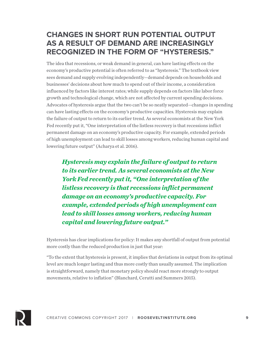### **CHANGES IN SHORT RUN POTENTIAL OUTPUT AS A RESULT OF DEMAND ARE INCREASINGLY RECOGNIZED IN THE FORM OF "HYSTERESIS."**

The idea that recessions, or weak demand in general, can have lasting effects on the economy's productive potential is often referred to as "hysteresis." The textbook view sees demand and supply evolving independently—demand depends on households and businesses' decisions about how much to spend out of their income, a consideration influenced by factors like interest rates; while supply depends on factors like labor force growth and technological change, which are not affected by current spending decisions. Advocates of hysteresis argue that the two can't be so neatly separated—changes in spending can have lasting effects on the economy's productive capacities. Hysteresis may explain the failure of output to return to its earlier trend. As several economists at the New York Fed recently put it, "One interpretation of the listless recovery is that recessions inflict permanent damage on an economy's productive capacity. For example, extended periods of high unemployment can lead to skill losses among workers, reducing human capital and lowering future output" (Acharya et al. 2016).

*Hysteresis may explain the failure of output to return to its earlier trend. As several economists at the New York Fed recently put it, "One interpretation of the listless recovery is that recessions inflict permanent damage on an economy's productive capacity. For example, extended periods of high unemployment can lead to skill losses among workers, reducing human capital and lowering future output."*

Hysteresis has clear implications for policy: It makes any shortfall of output from potential more costly than the reduced production in just that year:

"To the extent that hysteresis is present, it implies that deviations in output from its optimal level are much longer lasting and thus more costly than usually assumed. The implication is straightforward, namely that monetary policy should react more strongly to output movements, relative to inflation" (Blanchard, Cerutti and Summers 2015).

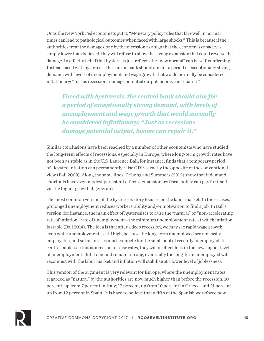Or as the New York Fed economists put it, "Monetary policy rules that fare well in normal times can lead to pathological outcomes when faced with large shocks." This is because if the authorities treat the damage done by the recession as a sign that the economy's capacity is simply lower than believed, they will refuse to allow the strong expansion that could reverse the damage. In effect, a belief that hysteresis just reflects the "new normal" can be self-confirming. Instead, faced with hysteresis, the central bank should aim for a period of exceptionally strong demand, with levels of unemployment and wage growth that would normally be considered inflationary: "Just as recessions damage potential output, booms can repair it."

*Faced with hysteresis, the central bank should aim for a period of exceptionally strong demand, with levels of unemployment and wage growth that would normally be considered inflationary: "Just as recessions damage potential output, booms can repair it."*

Similar conclusions have been reached by a number of other economists who have studied the long-term effects of recessions, especially in Europe, where long-term growth rates have not been as stable as in the U.S. Laurence Ball, for instance, finds that a temporary period of elevated inflation can permanently raise GDP—exactly the opposite of the conventional view (Ball 2009). Along the same lines, DeLong and Summers (2012) show that if demand shortfalls have even modest persistent effects, expansionary fiscal policy can pay for itself via the higher growth it generates.

The most common version of the hysteresis story focuses on the labor market. In these cases, prolonged unemployment reduces workers' ability and/or motivation to find a job. In Ball's version, for instance, the main effect of hysteresis is to raise the "natural" or "non-accelerating rate of inflation" rate of unemployment—the minimum unemployment rate at which inflation is stable (Ball 2014). The idea is that after a deep recession, we may see rapid wage growth even while unemployment is still high, because the long-term unemployed are not easily employable, and so businesses must compete for the small pool of recently unemployed. If central banks see this as a reason to raise rates, they will in effect lock in the new, higher level of unemployment. But if demand remains strong, eventually the long-term unemployed will reconnect with the labor market and inflation will stabilize at a lower level of joblessness.

This version of the argument is very relevant for Europe, where the unemployment rates regarded as "natural" by the authorities are now much higher than before the recession: 10 percent, up from 7 percent in Italy; 17 percent, up from 10 percent in Greece; and 21 percent, up from 12 percent in Spain. It is hard to believe that a fifth of the Spanish workforce now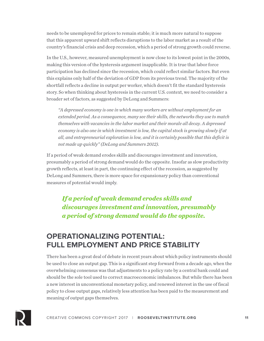needs to be unemployed for prices to remain stable; it is much more natural to suppose that this apparent upward shift reflects disruptions to the labor market as a result of the country's financial crisis and deep recession, which a period of strong growth could reverse.

In the U.S., however, measured unemployment is now close to its lowest point in the 2000s, making this version of the hysteresis argument inapplicable. It is true that labor force participation has declined since the recession, which could reflect similar factors. But even this explains only half of the deviation of GDP from its previous trend. The majority of the shortfall reflects a decline in output per worker, which doesn't fit the standard hysteresis story. So when thinking about hysteresis in the current U.S. context, we need to consider a broader set of factors, as suggested by DeLong and Summers:

*"A depressed economy is one in which many workers are without employment for an extended period. As a consequence, many see their skills, the networks they use to match themselves with vacancies in the labor market and their morale all decay. A depressed economy is also one in which investment is low, the capital stock is growing slowly if at all, and entrepreneurial exploration is low, and it is certainly possible that this deficit is not made up quickly" (DeLong and Summers 2012).*

If a period of weak demand erodes skills and discourages investment and innovation, presumably a period of strong demand would do the opposite. Insofar as slow productivity growth reflects, at least in part, the continuing effect of the recession, as suggested by DeLong and Summers, there is more space for expansionary policy than conventional measures of potential would imply.

*If a period of weak demand erodes skills and discourages investment and innovation, presumably a period of strong demand would do the opposite.* 

#### **OPERATIONALIZING POTENTIAL: FULL EMPLOYMENT AND PRICE STABILITY**

There has been a great deal of debate in recent years about which policy instruments should be used to close an output gap. This is a significant step forward from a decade ago, when the overwhelming consensus was that adjustments to a policy rate by a central bank could and should be the sole tool used to correct macroeconomic imbalances. But while there has been a new interest in unconventional monetary policy, and renewed interest in the use of fiscal policy to close output gaps, relatively less attention has been paid to the measurement and meaning of output gaps themselves.

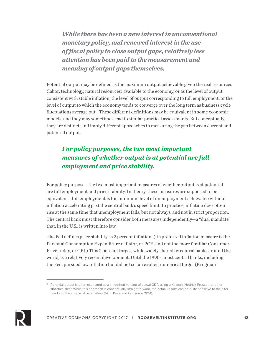*While there has been a new interest in unconventional monetary policy, and renewed interest in the use of fiscal policy to close output gaps, relatively less attention has been paid to the measurement and meaning of output gaps themselves.* 

Potential output may be defined as the maximum output achievable given the real resources (labor, technology, natural resources) available to the economy, or as the level of output consistent with stable inflation, the level of output corresponding to full employment, or the level of output to which the economy tends to converge over the long term as business cycle fluctuations average out.<sup>2</sup> These different definitions may be equivalent in some economic models, and they may sometimes lead to similar practical assessments. But conceptually, they are distinct, and imply different approaches to measuring the gap between current and potential output.

#### *For policy purposes, the two most important measures of whether output is at potential are full employment and price stability.*

For policy purposes, the two most important measures of whether output is at potential are full employment and price stability. In theory, these measures are supposed to be equivalent—full employment is the minimum level of unemployment achievable without inflation accelerating past the central bank's speed limit. In practice, inflation does often rise at the same time that unemployment falls, but not always, and not in strict proportion. The central bank must therefore consider both measures independently—a "dual mandate" that, in the U.S., is written into law.

The Fed defines price stability as 2 percent inflation. (Its preferred inflation measure is the Personal Consumption Expenditure deflator, or PCE, and not the more familiar Consumer Price Index, or CPI.) This 2 percent target, while widely shared by central banks around the world, is a relatively recent development. Until the 1990s, most central banks, including the Fed, pursued low inflation but did not set an explicit numerical target (Krugman



<sup>&</sup>lt;sup>2</sup> Potential output is often estimated as a smoothed version of actual GDP, using a Kalman, Hedrick-Prescott or other statistical filter. While this approach is conceptually straightforward, the actual results can be quite sensitive to the filter used and the choice of parameters (Akin, Kose and Ohnsorge 2014).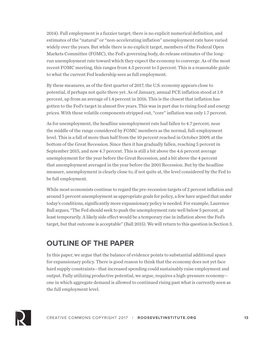2014). Full employment is a fuzzier target; there is no explicit numerical definition, and estimates of the "natural" or "non-accelerating inflation" unemployment rate have varied widely over the years. But while there is no explicit target, members of the Federal Open Markets Committee (FOMC), the Fed's governing body, do release estimates of the longrun unemployment rate toward which they expect the economy to converge. As of the most recent FOMC meeting, this ranges from 4.5 percent to 5 percent. This is a reasonable guide to what the current Fed leadership sees as full employment.

By these measures, as of the first quarter of 2017, the U.S. economy appears close to potential, if perhaps not quite there yet. As of January, annual PCE inflation stood at 1.9 percent, up from an average of 1.4 percent in 2016. This is the closest that inflation has gotten to the Fed's target in almost five years. This was in part due to rising food and energy prices. With these volatile components stripped out, "core" inflation was only 1.7 percent.

As for unemployment, the headline unemployment rate had fallen to 4.7 percent, near the middle of the range considered by FOMC members as the normal, full-employment level. This is a fall of more than half from the 10 percent reached in October 2009, at the bottom of the Great Recession. Since then it has gradually fallen, reaching 5 percent in September 2015, and now 4.7 percent. This is still a bit above the 4.6 percent average unemployment for the year before the Great Recession, and a bit above the 4 percent that unemployment averaged in the year before the 2001 Recession. But by the headline measure, unemployment is clearly close to, if not quite at, the level considered by the Fed to be full employment.

While most economists continue to regard the pre-recession targets of 2 percent inflation and around 5 percent unemployment as appropriate goals for policy, a few have argued that under today's conditions, significantly more expansionary policy is needed. For example, Laurence Ball argues, "The Fed should seek to push the unemployment rate well below 5 percent, at least temporarily. A likely side effect would be a temporary rise in inflation above the Fed's target, but that outcome is acceptable" (Ball 2015). We will return to this question in Section 3.

#### **OUTLINE OF THE PAPER**

In this paper, we argue that the balance of evidence points to substantial additional space for expansionary policy. There is good reason to think that the economy does not yet face hard supply constraints—that increased spending could sustainably raise employment and output. Fully utilizing productive potential, we argue, requires a high-pressure economy one in which aggregate demand is allowed to continued rising past what is currently seen as the full employment level.

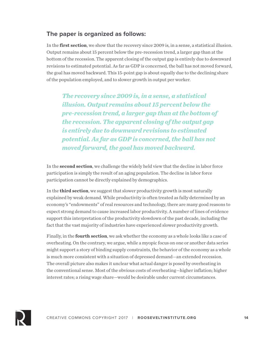#### **The paper is organized as follows:**

In the **first section**, we show that the recovery since 2009 is, in a sense, a statistical illusion. Output remains about 15 percent below the pre-recession trend, a larger gap than at the bottom of the recession. The apparent closing of the output gap is entirely due to downward revisions to estimated potential. As far as GDP is concerned, the ball has not moved forward, the goal has moved backward. This 15-point gap is about equally due to the declining share of the population employed, and to slower growth in output per worker.

*The recovery since 2009 is, in a sense, a statistical illusion. Output remains about 15 percent below the pre-recession trend, a larger gap than at the bottom of the recession. The apparent closing of the output gap is entirely due to downward revisions to estimated potential. As far as GDP is concerned, the ball has not moved forward, the goal has moved backward.*

In the **second section**, we challenge the widely held view that the decline in labor force participation is simply the result of an aging population. The decline in labor force participation cannot be directly explained by demographics.

In the **third section**, we suggest that slower productivity growth is most naturally explained by weak demand. While productivity is often treated as fully determined by an economy's "endowments" of real resources and technology, there are many good reasons to expect strong demand to cause increased labor productivity. A number of lines of evidence support this interpretation of the productivity slowdown of the past decade, including the fact that the vast majority of industries have experienced slower productivity growth.

Finally, in the **fourth section**, we ask whether the economy as a whole looks like a case of overheating. On the contrary, we argue, while a myopic focus on one or another data series might support a story of binding supply constraints, the behavior of the economy as a whole is much more consistent with a situation of depressed demand—an extended recession. The overall picture also makes it unclear what actual danger is posed by overheating in the conventional sense. Most of the obvious costs of overheating—higher inflation; higher interest rates; a rising wage share—would be desirable under current circumstances.

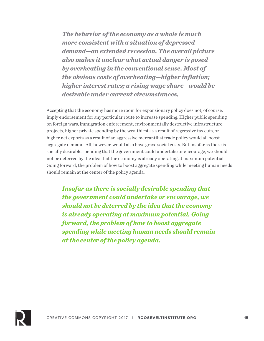*The behavior of the economy as a whole is much more consistent with a situation of depressed demand—an extended recession. The overall picture also makes it unclear what actual danger is posed by overheating in the conventional sense. Most of the obvious costs of overheating—higher inflation; higher interest rates; a rising wage share—would be desirable under current circumstances.*

Accepting that the economy has more room for expansionary policy does not, of course, imply endorsement for any particular route to increase spending. Higher public spending on foreign wars, immigration enforcement, environmentally destructive infrastructure projects, higher private spending by the wealthiest as a result of regressive tax cuts, or higher net exports as a result of an aggressive mercantilist trade policy would all boost aggregate demand. All, however, would also have grave social costs. But insofar as there is socially desirable spending that the government could undertake or encourage, we should not be deterred by the idea that the economy is already operating at maximum potential. Going forward, the problem of how to boost aggregate spending while meeting human needs should remain at the center of the policy agenda.

*Insofar as there is socially desirable spending that the government could undertake or encourage, we should not be deterred by the idea that the economy is already operating at maximum potential. Going forward, the problem of how to boost aggregate spending while meeting human needs should remain at the center of the policy agenda.*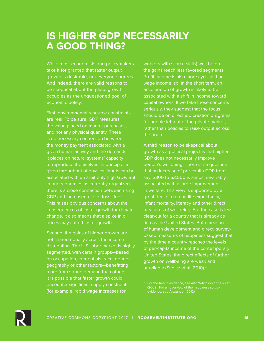## **IS HIGHER GDP NECESSARILY A GOOD THING?**

While most economists and policymakers take it for granted that faster output growth is desirable, not everyone agrees. And indeed, there are valid reasons to be skeptical about the place growth occupies as the unquestioned goal of economic policy.

First, environmental resource constraints are real. To be sure, GDP measures the value placed on market purchases, and not any physical quantity. There is no necessary connection between the money payment associated with a given human activity and the demands it places on natural systems' capacity to reproduce themselves. In principle, a given throughput of physical inputs can be associated with an arbitrarily high GDP. But in our economies as currently organized, there is a close connection between rising GDP and increased use of fossil fuels. This raises obvious concerns about the consequences of faster growth for climate change. It also means that a spike in oil prices may cut off faster growth.

Second, the gains of higher growth are not shared equally across the income distribution. The U.S. labor market is highly segmented, with certain groups—based on occupation, credentials, race, gender, geography or other factors—benefitting more from strong demand than others. It is possible that faster growth could encounter significant supply constraints (for example, rapid wage increases for

workers with scarce skills) well before the gains reach less favored segments. Profit income is also more cyclical than wage income, so, in the short term, an acceleration of growth is likely to be associated with a shift in income toward capital owners. If we take these concerns seriously, they suggest that the focus should be on direct job creation programs for people left out of the private market, rather than policies to raise output across the board.

A third reason to be skeptical about growth as a political project is that higher GDP does not necessarily improve people's wellbeing. There is no question that an increase of per-capita GDP from, say, \$300 to \$3,000 is almost invariably associated with a large improvement in welfare. This view is supported by a great deal of data on life expectancy, infant mortality, literacy and other direct measures of wellbeing. But the case is less clear-cut for a country that is already as rich as the United States. Both measures of human development and direct, surveybased measures of happiness suggest that by the time a country reaches the levels of per-capita income of the contemporary United States, the direct effects of further growth on wellbeing are weak and unreliable (Stiglitz et al. 2010).<sup>3</sup>



<sup>&</sup>lt;sup>3</sup> For the health evidence, see also Wilkinson and Pickett (2009). For an overview of the happiness survey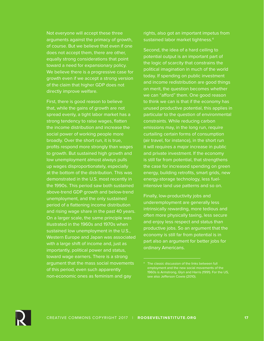Not everyone will accept these three arguments against the primacy of growth, of course. But we believe that even if one does not accept them, there are other, equally strong considerations that point toward a need for expansionary policy. We believe there is a progressive case for growth even if we accept a strong version of the claim that higher GDP does not directly improve welfare.

First, there is good reason to believe that, while the gains of growth are not spread evenly, a tight labor market has a strong tendency to raise wages, flatten the income distribution and increase the social power of working people more broadly. Over the short run, it is true, profits respond more strongly than wages to growth. But sustained high growth and low unemployment almost always pulls up wages disproportionately, especially at the bottom of the distribution. This was demonstrated in the U.S. most recently in the 1990s. This period saw both sustained above-trend GDP growth and below-trend unemployment, and the only sustained period of a flattening income distribution and rising wage share in the past 40 years. On a larger scale, the same principle was illustrated in the 1960s and 1970s when sustained low unemployment in the U.S., Western Europe and Japan was associated with a large shift of income and, just as importantly, political power and status, toward wage earners. There is a strong argument that the mass social movements of this period, even such apparently non-economic ones as feminism and gay

rights, also got an important impetus from sustained labor market tightness.4

Second, the idea of a hard ceiling to potential output is an important part of the logic of scarcity that constrains the political imagination in much of the world today. If spending on public investment and income redistribution are good things on merit, the question becomes whether we can "afford" them. One good reason to think we can is that if the economy has unused productive potential, this applies in particular to the question of environmental constraints. While reducing carbon emissions may, in the long run, require curtailing certain forms of consumption (air travel, for instance), in the short run it will requires a major increase in public and private investment. If the economy is still far from potential, that strengthens the case for increased spending on green energy, building retrofits, smart grids, new energy-storage technology, less fuelintensive land use patterns and so on.

Finally, low-productivity jobs and underemployment are generally less intrinsically rewarding, more tedious and often more physically taxing, less secure and enjoy less respect and status than productive jobs. So an argument that the economy is still far from potential is in part also an argument for better jobs for ordinary Americans.



<sup>&</sup>lt;sup>4</sup> The classic discussion of the links between full 1960s is Armstrong, Glyn and Harris (1991). For the US, see also Jefferson Cowie (2010).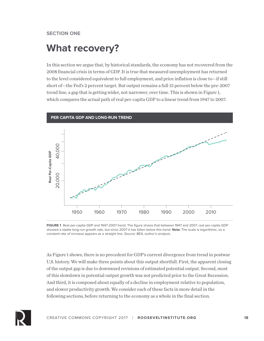#### **SECTION ONE**

## **What recovery?**

In this section we argue that, by historical standards, the economy has not recovered from the 2008 financial crisis in terms of GDP. It is true that measured unemployment has returned to the level considered equivalent to full employment, and price inflation is close to—if still short of—the Fed's 2 percent target. But output remains a full 15 percent below the pre-2007 trend line, a gap that is getting wider, not narrower, over time. This is shown in Figure 1, which compares the actual path of real per-capita GDP to a linear trend from 1947 to 2007.



**FIGURE 1** Real per-capita GDP and 1947-2007 trend. The figure shows that between 1947 and 2007, real per-capita GDP showed a stable long-run growth rate, but since 2007 it has fallen below this trend. **Note:** The scale is logarithmic, so a constant rate of increase appears as a straight line. *Source: BEA, author's analysis.*

As Figure 1 shows, there is no precedent for GDP's current divergence from trend in postwar U.S. history. We will make three points about this output shortfall: First, the apparent closing of the output gap is due to downward revisions of estimated potential output. Second, most of this slowdown in potential output growth was not predicted prior to the Great Recession. And third, it is composed about equally of a decline in employment relative to population, and slower productivity growth. We consider each of these facts in more detail in the following sections, before returning to the economy as a whole in the final section.

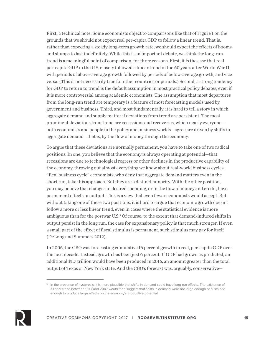First, a technical note: Some economists object to comparisons like that of Figure 1 on the grounds that we should not expect real per-capita GDP to follow a linear trend. That is, rather than expecting a steady long-term growth rate, we should expect the effects of booms and slumps to last indefinitely. While this is an important debate, we think the long-run trend is a meaningful point of comparison, for three reasons. First, it is the case that real per-capita GDP in the U.S. closely followed a linear trend in the 60 years after World War II, with periods of above-average growth followed by periods of below-average growth, and vice versa. (This is not necessarily true for other countries or periods.) Second, a strong tendency for GDP to return to trend is the default assumption in most practical policy debates, even if it is more controversial among academic economists. The assumption that most departures from the long-run trend are temporary is a feature of most forecasting models used by government and business. Third, and most fundamentally, it is hard to tell a story in which aggregate demand and supply matter if deviations from trend are persistent. The most prominent deviations from trend are recessions and recoveries, which nearly everyone both economists and people in the policy and business worlds—agree are driven by shifts in aggregate demand—that is, by the flow of money through the economy.

To argue that these deviations are normally permanent, you have to take one of two radical positions. In one, you believe that the economy is always operating at potential—that recessions are due to technological regress or other declines in the productive capability of the economy, throwing out almost everything we know about real-world business cycles. "Real business cycle" economists, who deny that aggregate demand matters even in the short run, take this approach. But they are a distinct minority. With the other position, you may believe that changes in desired spending, or in the flow of money and credit, have permanent effects on output. This is a view that even fewer economists would accept. But without taking one of these two positions, it is hard to argue that economic growth doesn't follow a more or less linear trend, even in cases where the statistical evidence is more ambiguous than for the postwar U.S.<sup>5</sup> Of course, to the extent that demand-induced shifts in output persist in the long run, the case for expansionary policy is that much stronger. If even a small part of the effect of fiscal stimulus is permanent, such stimulus may pay for itself (DeLong and Summers 2012).

In 2006, the CBO was forecasting cumulative 16 percent growth in real, per-capita GDP over the next decade. Instead, growth has been just 6 percent. If GDP had grown as predicted, an additional \$1.7 trillion would have been produced in 2016, an amount greater than the total output of Texas or New York state. And the CBO's forecast was, arguably, conservative—



<sup>&</sup>lt;sup>5</sup> In the presence of hysteresis, it is more plausible that shifts in demand could have long-run effects. The existence of a linear trend between 1947 and 2007 would then suggest that shifts in demand were not large enough or sustained enough to produce large effects on the economy's productive potential.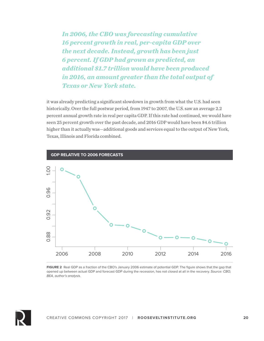*In 2006, the CBO was forecasting cumulative 16 percent growth in real, per-capita GDP over the next decade. Instead, growth has been just 6 percent. If GDP had grown as predicted, an additional \$1.7 trillion would have been produced in 2016, an amount greater than the total output of Texas or New York state.* 

it was already predicting a significant slowdown in growth from what the U.S. had seen historically. Over the full postwar period, from 1947 to 2007, the U.S. saw an average 2.2 percent annual growth rate in real per capita GDP. If this rate had continued, we would have seen 25 percent growth over the past decade, and 2016 GDP would have been \$4.6 trillion higher than it actually was—additional goods and services equal to the output of New York, Texas, Illinois and Florida combined.



**FIGURE 2** Real GDP as a fraction of the CBO's January 2006 estimate of potential GDP. The figure shows that the gap that opened up between actual GDP and forecast GDP during the recession, has not closed at all in the recovery. *Source: CBO, BEA, author's analysis.*

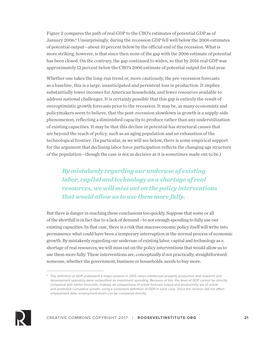Figure 2 compares the path of real GDP to the CBO's estimates of potential GDP as of January 2006.<sup>6</sup> Unsurprisingly, during the recession GDP fell well below the 2006 estimates of potential output—about 10 percent below by the official end of the recession. What is more striking, however, is that since then none of the gap with the 2006 estimate of potential has been closed. On the contrary, the gap continued to widen, so that by 2016 real GDP was approximately 12 percent below the CBO's 2006 estimate of potential output for that year.

Whether one takes the long-run trend or, more cautiously, the pre-recession forecasts as a baseline, this is a large, unanticipated and persistent loss in production. It implies substantially lower incomes for American households, and fewer resources available to address national challenges. It is certainly possible that this gap is entirely the result of overoptimistic growth forecasts prior to the recession. It may be, as many economists and policymakers seem to believe, that the post-recession slowdown in growth is a supply-side phenomenon, reflecting a diminished capacity to produce rather than any underutilization of existing capacities. It may be that this decline in potential has structural causes that are beyond the reach of policy, such as an aging population and an exhaustion of the technological frontier. (In particular, as we will see below, there is some empirical support for the argument that declining labor force participation reflects the changing age structure of the population—though the case is not as decisive as it is sometimes made out to be.)

*By mistakenly regarding our underuse of existing labor, capital and technology as a shortage of real resources, we will miss out on the policy interventions that would allow us to use them more fully.*

But there is danger in reaching these conclusions too quickly. Suppose that some or all of the shortfall is in fact due to a lack of demand—to not enough spending to fully use our existing capacities. In that case, there is a risk that macroeconomic policy itself will write into permanence what could have been a temporary interruption in the normal process of economic growth. By mistakenly regarding our underuse of existing labor, capital and technology as a shortage of real resources, we will miss out on the policy interventions that would allow us to use them more fully. These interventions are, conceptually if not practically, straightforward: someone, whether the government, business or households, needs to buy more.



<sup>&</sup>lt;sup>6</sup> The definition of GDP underwent a major revision in 2013, when intellectual property production and research and development spending were reclassified as investment spending. Because of this, the level of GDP cannot be directly compared with earlier forecasts. Instead, all comparisons of actual forecast output and productivity are of actual and predicted cumulative growth, using a consistent definition of GDP in each case. Since the revision did not affect employment data, employment levels can be compared directly.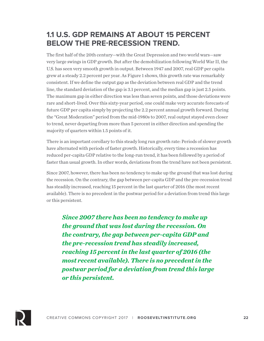## **1.1 U.S. GDP REMAINS AT ABOUT 15 PERCENT BELOW THE PRE-RECESSION TREND.**

The first half of the 20th century—with the Great Depression and two world wars—saw very large swings in GDP growth. But after the demobilization following World War II, the U.S. has seen very smooth growth in output. Between 1947 and 2007, real GDP per capita grew at a steady 2.2 percent per year. As Figure 1 shows, this growth rate was remarkably consistent. If we define the output gap as the deviation between real GDP and the trend line, the standard deviation of the gap is 3.1 percent, and the median gap is just 2.5 points. The maximum gap in either direction was less than seven points, and those deviations were rare and short-lived. Over this sixty-year period, one could make very accurate forecasts of future GDP per capita simply by projecting the 2.2 percent annual growth forward. During the "Great Moderation" period from the mid-1980s to 2007, real output stayed even closer to trend, never departing from more than 5 percent in either direction and spending the majority of quarters within 1.5 points of it.

There is an important corollary to this steady long run growth rate: Periods of slower growth have alternated with periods of faster growth. Historically, every time a recession has reduced per-capita GDP relative to the long-run trend, it has been followed by a period of faster than usual growth. In other words, deviations from the trend have not been persistent.

Since 2007, however, there has been no tendency to make up the ground that was lost during the recession. On the contrary, the gap between per-capita GDP and the pre-recession trend has steadily increased, reaching 15 percent in the last quarter of 2016 (the most recent available). There is no precedent in the postwar period for a deviation from trend this large or this persistent.

*Since 2007 there has been no tendency to make up the ground that was lost during the recession. On the contrary, the gap between per-capita GDP and the pre-recession trend has steadily increased, reaching 15 percent in the last quarter of 2016 (the most recent available). There is no precedent in the postwar period for a deviation from trend this large or this persistent.* 

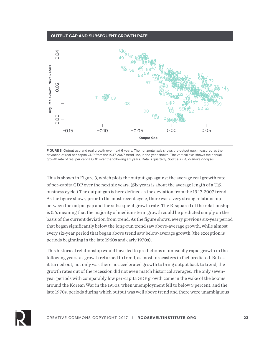#### **OUTPUT GAP AND SUBSEQUENT GROWTH RATE**



**FIGURE 3** Output gap and real growth over next 6 years. The horizontal axis shows the output gap, measured as the deviation of real per capita GDP from the 1947-2007 trend line, in the year shown. The vertical axis shows the annual growth rate of real per capita GDP over the following six years. Data is quarterly. *Source: BEA, author's analysis.*

This is shown in Figure 3, which plots the output gap against the average real growth rate of per-capita GDP over the next six years. (Six years is about the average length of a U.S. business cycle.) The output gap is here defined as the deviation from the 1947-2007 trend. As the figure shows, prior to the most recent cycle, there was a very strong relationship between the output gap and the subsequent growth rate. The R-squared of the relationship is 0.6, meaning that the majority of medium-term growth could be predicted simply on the basis of the current deviation from trend. As the figure shows, every previous six-year period that began significantly below the long-run trend saw above-average growth, while almost every six-year period that began above trend saw below-average growth (the exception is periods beginning in the late 1960s and early 1970s).

This historical relationship would have led to predictions of unusually rapid growth in the following years, as growth returned to trend, as most forecasters in fact predicted. But as it turned out, not only was there no accelerated growth to bring output back to trend, the growth rates out of the recession did not even match historical averages. The only sevenyear periods with comparably low per-capita GDP growth came in the wake of the booms around the Korean War in the 1950s, when unemployment fell to below 3 percent, and the late 1970s, periods during which output was well above trend and there were unambiguous

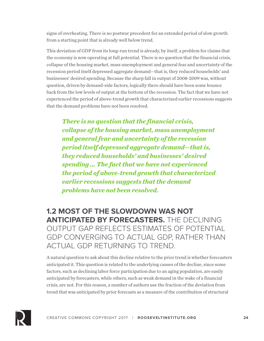signs of overheating. There is no postwar precedent for an extended period of slow growth from a starting point that is already well below trend.

This deviation of GDP from its long-run trend is already, by itself, a problem for claims that the economy is now operating at full potential. There is no question that the financial crisis, collapse of the housing market, mass unemployment and general fear and uncertainty of the recession period itself depressed aggregate demand—that is, they reduced households' and businesses' desired spending. Because the sharp fall in output of 2008-2009 was, without question, driven by demand-side factors, logically there should have been some bounce back from the low levels of output at the bottom of the recession. The fact that we have not experienced the period of above-trend growth that characterized earlier recessions suggests that the demand problems have not been resolved.

*There is no question that the financial crisis, collapse of the housing market, mass unemployment and general fear and uncertainty of the recession period itself depressed aggregate demand—that is, they reduced households' and businesses' desired spending … The fact that we have not experienced the period of above-trend growth that characterized earlier recessions suggests that the demand problems have not been resolved.*

**1.2 MOST OF THE SLOWDOWN WAS NOT ANTICIPATED BY FORECASTERS.** THE DECLINING OUTPUT GAP REFLECTS ESTIMATES OF POTENTIAL GDP CONVERGING TO ACTUAL GDP, RATHER THAN ACTUAL GDP RETURNING TO TREND.

A natural question to ask about this decline relative to the prior trend is whether forecasters anticipated it. This question is related to the underlying causes of the decline, since some factors, such as declining labor force participation due to an aging population, are easily anticipated by forecasters, while others, such as weak demand in the wake of a financial crisis, are not. For this reason, a number of authors use the fraction of the deviation from trend that was anticipated by prior forecasts as a measure of the contribution of structural

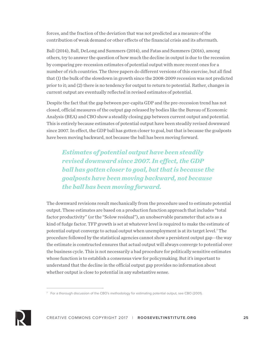forces, and the fraction of the deviation that was not predicted as a measure of the contribution of weak demand or other effects of the financial crisis and its aftermath.

Ball (2014), Ball, DeLong and Summers (2014), and Fatas and Summers (2016), among others, try to answer the question of how much the decline in output is due to the recession by comparing pre-recession estimates of potential output with more recent ones for a number of rich countries. The three papers do different versions of this exercise, but all find that (1) the bulk of the slowdown in growth since the 2008-2009 recession was not predicted prior to it; and (2) there is no tendency for output to return to potential. Rather, changes in current output are eventually reflected in revised estimates of potential.

Despite the fact that the gap between per-capita GDP and the pre-recession trend has not closed, official measures of the output gap released by bodies like the Bureau of Economic Analysis (BEA) and CBO show a steadily closing gap between current output and potential. This is entirely because estimates of potential output have been steadily revised downward since 2007. In effect, the GDP ball has gotten closer to goal, but that is because the goalposts have been moving backward, not because the ball has been moving forward.

*Estimates of potential output have been steadily revised downward since 2007. In effect, the GDP ball has gotten closer to goal, but that is because the goalposts have been moving backward, not because the ball has been moving forward.*

The downward revisions result mechanically from the procedure used to estimate potential output. These estimates are based on a production function approach that includes "total factor productivity" (or the "Solow residual"), an unobservable parameter that acts as a kind of fudge factor. TFP growth is set at whatever level is required to make the estimate of potential output converge to actual output when unemployment is at its target level.7 The procedure followed by the statistical agencies cannot show a persistent output gap—the way the estimate is constructed ensures that actual output will always converge to potential over the business cycle. This is not necessarily a bad procedure for politically sensitive estimates whose function is to establish a consensus view for policymaking. But it's important to understand that the decline in the official output gap provides no information about whether output is close to potential in any substantive sense.



 $7$  For a thorough discussion of the CBO's methodology for estimating potential output, see CBO (2001).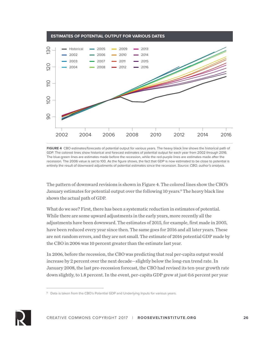

**FIGURE 4** CBO estimates/forecasts of potential output for various years. The heavy black line shows the historical path of GDP. The colored lines show historical and forecast estimates of potential output for each year from 2002 through 2016. The blue-green lines are estimates made before the recession, while the red-purple lines are estimates made after the recession. The 2006 value is set to 100. As the figure shows, the fact that GDP is now estimated to be close to potential is entirely the result of downward adjustments of potential estimates since the recession. *Source: CBO, author's analysis.*

The pattern of downward revisions is shown in Figure 4. The colored lines show the CBO's January estimates for potential output over the following 10 years.<sup>8</sup> The heavy black line shows the actual path of GDP.

What do we see? First, there has been a systematic reduction in estimates of potential. While there are some upward adjustments in the early years, more recently all the adjustments have been downward. The estimates of 2015, for example, first made in 2005, have been reduced every year since then. The same goes for 2016 and all later years. These are not random errors, and they are not small. The estimate of 2016 potential GDP made by the CBO in 2006 was 10 percent greater than the estimate last year.

In 2006, before the recession, the CBO was predicting that real per-capita output would increase by 2 percent over the next decade—slightly below the long-run trend rate. In January 2008, the last pre-recession forecast, the CBO had revised its ten-year growth rate down slightly, to 1.8 percent. In the event, per-capita GDP grew at just 0.6 percent per year



<sup>&</sup>lt;sup>8</sup> Data is taken from the CBO's Potential GDP and Underlying Inputs for various years.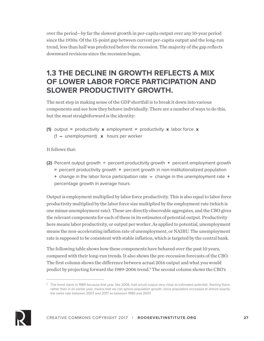over the period—by far the slowest growth in per-capita output over any 10-year period since the 1930s. Of the 15-point gap between current per-capita output and the long-run trend, less than half was predicted before the recession. The majority of the gap reflects downward revisions since the recession began.

## **1.3 THE DECLINE IN GROWTH REFLECTS A MIX OF LOWER LABOR FORCE PARTICIPATION AND SLOWER PRODUCTIVITY GROWTH.**

The next step in making sense of the GDP shortfall is to break it down into various components and see how they behave individually. There are a number of ways to do this, but the most straightforward is the identity:

**(1)** output = productivity  $x$  employment = productivity  $x$  labor force  $x$  $(1 -$  unemployment) **x** hours per worker

It follows that:

- **(2)** Percent output growth **≈** percent productivity growth + percent employment growth ≈ percent productivity growth + percent growth in non-institutionalized population
	- + change in the labor force participation rate change in the unemployment rate +

percentage growth in average hours

Output is employment multiplied by labor force productivity. This is also equal to labor force productivity multiplied by the labor force size multiplied by the employment rate (which is one minus unemployment rate). These are directly observable aggregates, and the CBO gives the relevant components for each of these in its estimates of potential output. Productivity here means labor productivity, or output per worker. As applied to potential, unemployment means the non-accelerating inflation rate of unemployment, or NAIRU. The unemployment rate is supposed to be consistent with stable inflation, which is targeted by the central bank.

The following table shows how these components have behaved over the past 10 years, compared with their long-run trends. It also shows the pre-recession forecasts of the CBO. The first column shows the difference between actual 2016 output and what you would predict by projecting forward the 1989-2006 trend.9 The second column shows the CBO's



<sup>&</sup>lt;sup>9</sup> The trend starts in 1989 because that year, like 2006, had actual output very close to estimated potential. Starting there, rather than in an earlier year, means that we can ignore population growth, since population increased at almost exactly the same rate between 2007 and 2017 as between 1989 and 2007.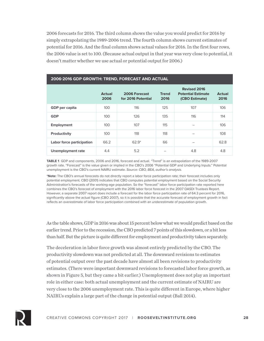2006 forecasts for 2016. The third column shows the value you would predict for 2016 by simply extrapolating the 1989-2006 trend. The fourth column shows current estimates of potential for 2016. And the final column shows actual values for 2016. In the first four rows, the 2006 value is set to 100. (Because actual output in that year was very close to potential, it doesn't matter whether we use actual or potential output for 2006.)

| 2006-2016 GDP GROWTH: TREND, FORECAST AND ACTUAL |                       |                                     |                      |                                                                    |                       |  |  |  |
|--------------------------------------------------|-----------------------|-------------------------------------|----------------------|--------------------------------------------------------------------|-----------------------|--|--|--|
|                                                  | <b>Actual</b><br>2006 | 2006 Forecast<br>for 2016 Potential | <b>Trend</b><br>2016 | <b>Revised 2016</b><br><b>Potential Estimate</b><br>(CBO Estimate) | <b>Actual</b><br>2016 |  |  |  |
| GDP per capita                                   | 100                   | 116                                 | 125                  | 107                                                                | 106                   |  |  |  |
| <b>GDP</b>                                       | 100                   | 126                                 | 135                  | 116                                                                | 114                   |  |  |  |
| <b>Employment</b>                                | 100                   | 107                                 | 115                  |                                                                    | 106                   |  |  |  |
| Productivity                                     | 100                   | 118                                 | 118                  |                                                                    | 108                   |  |  |  |
| Labor force participation                        | 66.2                  | $62.9*$                             | 66                   |                                                                    | 62.8                  |  |  |  |
| <b>Unemployment rate</b>                         | 4.4                   | 5.2                                 |                      | 4.8                                                                | 4.8                   |  |  |  |

#### **2006-2016 GDP GROWTH: TREND, FORECAST AND ACTUAL**

**TABLE 1** GDP and components, 2006 and 2016, forecast and actual. "Trend" is an extrapolation of the 1989-2007 growth rate. "Forecast" is the value given or implied in the CBO's 2006 "Potential GDP and Underlying Inputs." Potential unemployment is the CBO's current NAIRU estimate. *Source: CBO, BEA, author's analysis.*

**\*Note:** The CBO's annual forecasts do not directly report a labor force participation rate; their forecast includes only potential employment. CBO (2001) indicates that CBO computes potential employment based on the Social Security Administration's forecasts of the working-age population. So the "forecast" labor force participation rate reported here combines the CBO's forecast of employment with the 2016 labor force forecast in the 2007 OASDI Trustees Report. However, a separate 2007 report does include a forecast for the labor force participation rate of 64.3 percent for 2016, significantly above the actual figure (CBO 2007), so it is possible that the accurate forecast of employment growth in fact reflects an overestimate of labor force participation combined with an underestimate of population growth.

As the table shows, GDP in 2016 was about 15 percent below what we would predict based on the earlier trend. Prior to the recession, the CBO predicted 7 points of this slowdown, or a bit less than half. But the picture is quite different for employment and productivity taken separately.

The deceleration in labor force growth was almost entirely predicted by the CBO. The productivity slowdown was not predicted at all. The downward revisions to estimates of potential output over the past decade have almost all been revisions to productivity estimates. (There were important downward revisions to forecasted labor force growth, as shown in Figure 5, but they came a bit earlier.) Unemployment does not play an important role in either case: both actual unemployment and the current estimate of NAIRU are very close to the 2006 unemployment rate. This is quite different in Europe, where higher NAIRUs explain a large part of the change in potential output (Ball 2014).

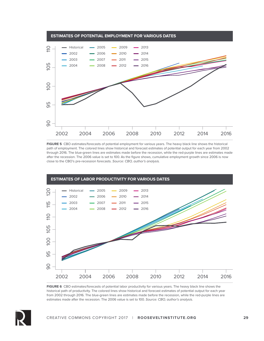

**FIGURE 5** CBO estimates/forecasts of potential employment for various years. The heavy black line shows the historical path of employment. The colored lines show historical and forecast estimates of potential output for each year from 2002 through 2016. The blue-green lines are estimates made before the recession, while the red-purple lines are estimates made after the recession. The 2006 value is set to 100. As the figure shows, cumulative employment growth since 2006 is now close to the CBO's pre-recession forecasts. *Source: CBO, author's analysis.*



**FIGURE 6** CBO estimates/forecasts of potential labor productivity for various years. The heavy black line shows the historical path of productivity. The colored lines show historical and forecast estimates of potential output for each year from 2002 through 2016. The blue-green lines are estimates made before the recession, while the red-purple lines are estimates made after the recession. The 2006 value is set to 100. *Source: CBO, author's analysis.*

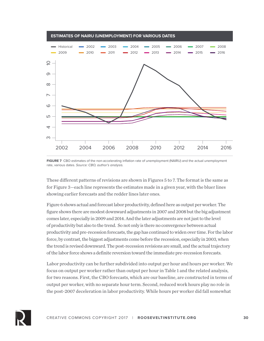

**FIGURE 7** CBO estimates of the non-accelerating inflation rate of unemployment (NAIRU) and the actual unemployment rate, various dates. *Source: CBO, author's analysis.*

These different patterns of revisions are shown in Figures 5 to 7. The format is the same as for Figure 3—each line represents the estimates made in a given year, with the bluer lines showing earlier forecasts and the redder lines later ones.

Figure 6 shows actual and forecast labor productivity, defined here as output per worker. The figure shows there are modest downward adjustments in 2007 and 2008 but the big adjustment comes later, especially in 2009 and 2014. And the later adjustments are not just to the level of productivity but also to the trend. So not only is there no convergence between actual productivity and pre-recession forecasts, the gap has continued to widen over time. For the labor force, by contrast, the biggest adjustments come before the recession, especially in 2003, when the trend is revised downward. The post-recession revisions are small, and the actual trajectory of the labor force shows a definite reversion toward the immediate pre-recession forecasts.

Labor productivity can be further subdivided into output per hour and hours per worker. We focus on output per worker rather than output per hour in Table 1 and the related analysis, for two reasons. First, the CBO forecasts, which are our baseline, are constructed in terms of output per worker, with no separate hour term. Second, reduced work hours play no role in the post-2007 deceleration in labor productivity. While hours per worker did fall somewhat

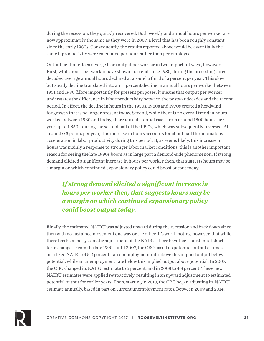during the recession, they quickly recovered. Both weekly and annual hours per worker are now approximately the same as they were in 2007, a level that has been roughly constant since the early 1980s. Consequently, the results reported above would be essentially the same if productivity were calculated per hour rather than per employee.

Output per hour does diverge from output per worker in two important ways, however. First, while hours per worker have shown no trend since 1980, during the preceding three decades, average annual hours declined at around a third of a percent per year. This slow but steady decline translated into an 11 percent decline in annual hours per worker between 1951 and 1980. More importantly for present purposes, it means that output per worker understates the difference in labor productivity between the postwar decades and the recent period. In effect, the decline in hours in the 1950s, 1960s and 1970s created a headwind for growth that is no longer present today. Second, while there is no overall trend in hours worked between 1980 and today, there is a substantial rise—from around 1800 hours per year up to 1,850—during the second half of the 1990s, which was subsequently reversed. At around 0.5 points per year, this increase in hours accounts for about half the anomalous acceleration in labor productivity during this period. If, as seems likely, this increase in hours was mainly a response to stronger labor market conditions, this is another important reason for seeing the late 1990s boom as in large part a demand-side phenomenon. If strong demand elicited a significant increase in hours per worker then, that suggests hours may be a margin on which continued expansionary policy could boost output today.

*If strong demand elicited a significant increase in hours per worker then, that suggests hours may be a margin on which continued expansionary policy could boost output today.* 

Finally, the estimated NAIRU was adjusted upward during the recession and back down since then with no sustained movement one way or the other. It's worth noting, however, that while there has been no systematic adjustment of the NAIRU, there have been substantial shortterm changes. From the late 1990s until 2007, the CBO based its potential output estimates on a fixed NAIRU of 5.2 percent—an unemployment rate above this implied output below potential, while an unemployment rate below this implied output above potential. In 2007, the CBO changed its NAIRU estimate to 5 percent, and in 2008 to 4.8 percent. These new NAIRU estimates were applied retroactively, resulting in an upward adjustment to estimated potential output for earlier years. Then, starting in 2010, the CBO began adjusting its NAIRU estimate annually, based in part on current unemployment rates. Between 2009 and 2014,

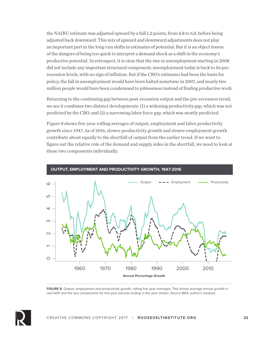the NAIRU estimate was adjusted upward by a full 1.2 points, from 4.8 to 6.0, before being adjusted back downward. This mix of upward and downward adjustments does not play an important part in the long-run shifts in estimates of potential. But it is an object lesson of the dangers of being too quick to interpret a demand shock as a shift in the economy's productive potential. In retrospect, it is clear that the rise in unemployment starting in 2008 did not include any important structural component; unemployment today is back to its prerecession levels, with no sign of inflation. But if the CBO's estimates had been the basis for policy, the fall in unemployment would have been halted sometime in 2007, and nearly two million people would have been condemned to joblessness instead of finding productive work.

Returning to the continuing gap between post-recession output and the pre-recession trend, we see it combines two distinct developments: (1) a widening productivity gap, which was not predicted by the CBO, and (2) a narrowing labor force gap, which was mostly predicted.

Figure 8 shows five-year rolling averages of output, employment and labor productivity growth since 1947. As of 2016, slower productivity growth and slower employment growth contribute about equally to the shortfall of output from the earlier trend. If we want to figure out the relative role of the demand and supply sides in the shortfall, we need to look at these two components individually.



**FIGURE 8** Output, employment and productivity growth, rolling five year averages. This shows average annual growth in real GDP and the two components for five-year periods ending in the year shown. *Source BEA, author's analysis.*

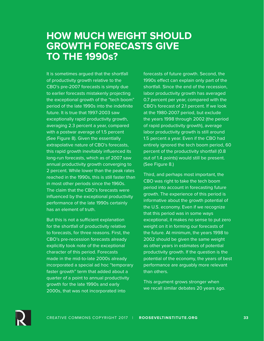## **HOW MUCH WEIGHT SHOULD GROWTH FORECASTS GIVE TO THE 1990s?**

It is sometimes argued that the shortfall of productivity growth relative to the CBO's pre-2007 forecasts is simply due to earlier forecasts mistakenly projecting the exceptional growth of the "tech boom" period of the late 1990s into the indefinite future. It is true that 1997-2003 saw exceptionally rapid productivity growth, averaging 2.3 percent a year, compared with a postwar average of 1.5 percent (See Figure 8). Given the essentially extrapolative nature of CBO's forecasts, this rapid growth inevitably influenced its long-run forecasts, which as of 2007 saw annual productivity growth converging to 2 percent. While lower than the peak rates reached in the 1990s, this is still faster than in most other periods since the 1960s. The claim that the CBO's forecasts were influenced by the exceptional productivity performance of the late 1990s certainly has an element of truth.

But this is not a sufficient explanation for the shortfall of productivity relative to forecasts, for three reasons. First, the CBO's pre-recession forecasts already explicitly took note of the exceptional character of this period. Forecasts made in the mid-to-late 2000s already incorporated a special ad hoc "temporary faster growth" term that added about a quarter of a point to annual productivity growth for the late 1990s and early 2000s, that was not incorporated into

forecasts of future growth. Second, the 1990s effect can explain only part of the shortfall. Since the end of the recession, labor productivity growth has averaged 0.7 percent per year, compared with the CBO's forecast of 2.1 percent. If we look at the 1980-2007 period, but exclude the years 1998 through 2002 (the period of rapid productivity growth), average labor productivity growth is still around 1.5 percent a year. Even if the CBO had entirely ignored the tech boom period, 60 percent of the productivity shortfall (0.8 out of 1.4 points) would still be present. (See Figure 8.)

Third, and perhaps most important, the CBO was right to take the tech boom period into account in forecasting future growth. The experience of this period is informative about the growth potential of the U.S. economy. Even if we recognize that this period was in some ways exceptional, it makes no sense to put zero weight on it in forming our forecasts of the future. At minimum, the years 1998 to 2002 should be given the same weight as other years in estimates of potential productivity growth. If the question is the potential of the economy, the years of best performance are arguably more relevant than others.

This argument grows stronger when we recall similar debates 20 years ago.

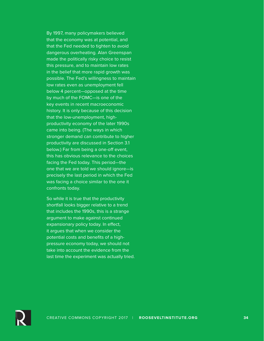By 1997, many policymakers believed that the economy was at potential, and that the Fed needed to tighten to avoid dangerous overheating. Alan Greenspan made the politically risky choice to resist this pressure, and to maintain low rates in the belief that more rapid growth was possible. The Fed's willingness to maintain low rates even as unemployment fell below 4 percent—opposed at the time by much of the FOMC—is one of the key events in recent macroeconomic history. It is only because of this decision that the low-unemployment, highproductivity economy of the later 1990s came into being. (The ways in which stronger demand can contribute to higher productivity are discussed in Section 3.1 below.) Far from being a one-off event, this has obvious relevance to the choices facing the Fed today. This period—the one that we are told we should ignore—is precisely the last period in which the Fed was facing a choice similar to the one it confronts today.

So while it is true that the productivity shortfall looks bigger relative to a trend that includes the 1990s, this is a strange argument to make against continued expansionary policy today. In effect, it argues that when we consider the potential costs and benefits of a highpressure economy today, we should not take into account the evidence from the last time the experiment was actually tried.

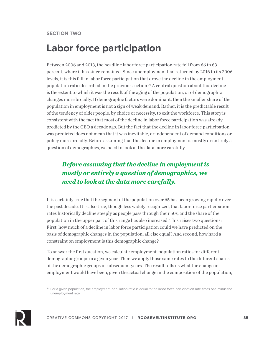## **Labor force participation**

Between 2006 and 2013, the headline labor force participation rate fell from 66 to 63 percent, where it has since remained. Since unemployment had returned by 2016 to its 2006 levels, it is this fall in labor force participation that drove the decline in the employmentpopulation ratio described in the previous section.<sup>10</sup> A central question about this decline is the extent to which it was the result of the aging of the population, or of demographic changes more broadly. If demographic factors were dominant, then the smaller share of the population in employment is not a sign of weak demand. Rather, it is the predictable result of the tendency of older people, by choice or necessity, to exit the workforce. This story is consistent with the fact that most of the decline in labor force participation was already predicted by the CBO a decade ago. But the fact that the decline in labor force participation was predicted does not mean that it was inevitable, or independent of demand conditions or policy more broadly. Before assuming that the decline in employment is mostly or entirely a question of demographics, we need to look at the data more carefully.

#### *Before assuming that the decline in employment is mostly or entirely a question of demographics, we need to look at the data more carefully.*

It is certainly true that the segment of the population over 65 has been growing rapidly over the past decade. It is also true, though less widely recognized, that labor force participation rates historically decline steeply as people pass through their 50s, and the share of the population in the upper part of this range has also increased. This raises two questions: First, how much of a decline in labor force participation could we have predicted on the basis of demographic changes in the population, all else equal? And second, how hard a constraint on employment is this demographic change?

To answer the first question, we calculate employment-population ratios for different demographic groups in a given year. Then we apply those same rates to the different shares of the demographic groups in subsequent years. The result tells us what the change in employment would have been, given the actual change in the composition of the population,



 $10$  For a given population, the employment-population ratio is equal to the labor force participation rate times one minus the unemployment rate.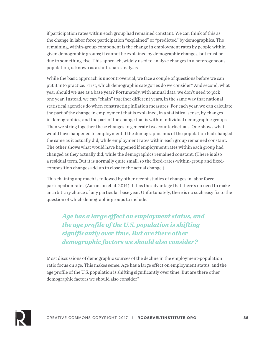if participation rates within each group had remained constant. We can think of this as the change in labor force participation "explained" or "predicted" by demographics. The remaining, within-group component is the change in employment rates by people within given demographic groups; it cannot be explained by demographic changes, but must be due to something else. This approach, widely used to analyze changes in a heterogeneous population, is known as a shift-share analysis.

While the basic approach is uncontroversial, we face a couple of questions before we can put it into practice. First, which demographic categories do we consider? And second, what year should we use as a base year? Fortunately, with annual data, we don't need to pick one year. Instead, we can "chain" together different years, in the same way that national statistical agencies do when constructing inflation measures. For each year, we can calculate the part of the change in employment that is explained, in a statistical sense, by changes in demographics, and the part of the change that is within individual demographic groups. Then we string together these changes to generate two counterfactuals. One shows what would have happened to employment if the demographic mix of the population had changed the same as it actually did, while employment rates within each group remained constant. The other shows what would have happened if employment rates within each group had changed as they actually did, while the demographics remained constant. (There is also a residual term. But it is normally quite small, so the fixed-rates-within-group and fixedcomposition changes add up to close to the actual change.)

This chaining approach is followed by other recent studies of changes in labor force participation rates (Aaronson et al. 2014). It has the advantage that there's no need to make an arbitrary choice of any particular base year. Unfortunately, there is no such easy fix to the question of which demographic groups to include.

*Age has a large effect on employment status, and the age profile of the U.S. population is shifting significantly over time. But are there other demographic factors we should also consider?* 

Most discussions of demographic sources of the decline in the employment-population ratio focus on age. This makes sense: Age has a large effect on employment status, and the age profile of the U.S. population is shifting significantly over time. But are there other demographic factors we should also consider?

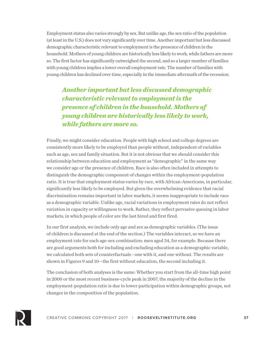Employment status also varies strongly by sex. But unlike age, the sex ratio of the population (at least in the U.S.) does not vary significantly over time. Another important but less discussed demographic characteristic relevant to employment is the presence of children in the household. Mothers of young children are historically less likely to work, while fathers are more so. The first factor has significantly outweighed the second, and so a larger number of families with young children implies a lower overall employment rate. The number of families with young children has declined over time, especially in the immediate aftermath of the recession.

*Another important but less discussed demographic characteristic relevant to employment is the presence of children in the household. Mothers of young children are historically less likely to work, while fathers are more so.*

Finally, we might consider education. People with high school and college degrees are consistently more likely to be employed than people without, independent of variables such as age, sex and family situation. But it is not obvious that we should consider this relationship between education and employment as "demographic" in the same way we consider age or the presence of children. Race is also often included in attempts to distinguish the demographic component of changes within the employment-population ratio. It is true that employment status varies by race, with African-Americans, in particular, significantly less likely to be employed. But given the overwhelming evidence that racial discrimination remains important in labor markets, it seems inappropriate to include race as a demographic variable. Unlike age, racial variations in employment rates do not reflect variation in capacity or willingness to work. Rather, they reflect pervasive queuing in labor markets, in which people of color are the last hired and first fired.

In our first analysis, we include only age and sex as demographic variables. (The issue of children is discussed at the end of the section.) The variables interact, so we have an employment rate for each age-sex combination: men aged 34, for example. Because there are good arguments both for including and excluding education as a demographic variable, we calculated both sets of counterfactuals—one with it, and one without. The results are shown in Figures 9 and 10—the first without education, the second including it.

The conclusion of both analyses is the same: Whether you start from the all-time high point in 2000 or the most recent business-cycle peak in 2007, the majority of the decline in the employment-population ratio is due to lower participation within demographic groups, not changes in the composition of the population.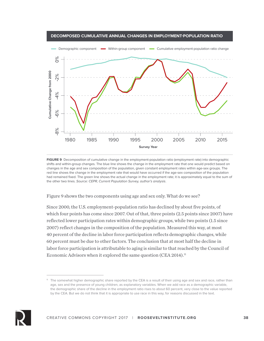

**DECOMPOSED CUMULATIVE ANNUAL CHANGES IN EMPLOYMENT-POPULATION RATIO**

**FIGURE 9** Decomposition of cumulative change in the employment-population ratio (employment rate) into demographic shifts and within-group changes. The blue line shows the change in the employment rate that one would predict based on changes in the age and sex composition of the population, given constant employment rates within age-sex groups. The red line shows the change in the employment rate that would have occurred if the age-sex composition of the population had remained fixed. The green line shows the actual change in the employment rate; it is approximately equal to the sum of the other two lines. *Source: CEPR, Current Population Survey, author's analysis*.

Figure 9 shows the two components using age and sex only. What do we see?

Since 2000, the U.S. employment-population ratio has declined by about five points, of which four points has come since 2007. Out of that, three points (2.5 points since 2007) have reflected lower participation rates within demographic groups, while two points (1.5 since 2007) reflect changes in the composition of the population. Measured this way, at most 40 percent of the decline in labor force participation reflects demographic changes, while 60 percent must be due to other factors. The conclusion that at most half the decline in labor force participation is attributable to aging is similar to that reached by the Council of Economic Advisors when it explored the same question (CEA 2014).<sup>11</sup>



<sup>&</sup>lt;sup>11</sup> The somewhat higher demographic share reported by the CEA is a result of their using age and sex and race, rather than age, sex and the presence of young children, as explanatory variables. When we add race as a demographic variable, the demographic share of the decline in the employment ratio rises to about 60 percent, very close to the value reported by the CEA. But we do not think that it is appropriate to use race in this way, for reasons discussed in the text.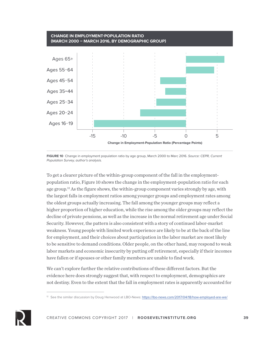

**FIGURE 10** Change in employment population ratio by age group, March 2000 to Marc 2016. *Source: CEPR, Current Population Survey, author's analysis.*

To get a clearer picture of the within-group component of the fall in the employmentpopulation ratio, Figure 10 shows the change in the employment-population ratio for each age group.<sup>12</sup> As the figure shows, the within-group component varies strongly by age, with the largest falls in employment ratios among younger groups and employment rates among the oldest groups actually increasing. The fall among the younger groups may reflect a higher proportion of higher education, while the rise among the older groups may reflect the decline of private pensions, as well as the increase in the normal retirement age under Social Security. However, the pattern is also consistent with a story of continued labor-market weakness. Young people with limited work experience are likely to be at the back of the line for employment, and their choices about participation in the labor market are most likely to be sensitive to demand conditions. Older people, on the other hand, may respond to weak labor markets and economic insecurity by putting off retirement, especially if their incomes have fallen or if spouses or other family members are unable to find work.

We can't explore further the relative contributions of these different factors. But the evidence here does strongly suggest that, with respect to employment, demographics are not destiny. Even to the extent that the fall in employment rates is apparently accounted for



<sup>&</sup>lt;sup>12</sup> See the similar discussion by Doug Henwood at LBO-News: https://lbo-news.com/2017/04/18/how-employed-are-we/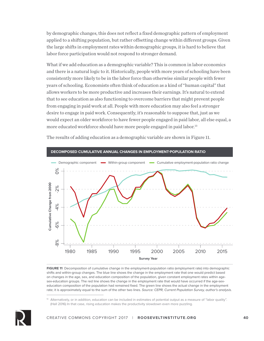by demographic changes, this does not reflect a fixed demographic pattern of employment applied to a shifting population, but rather offsetting change within different groups. Given the large shifts in employment rates within demographic groups, it is hard to believe that labor force participation would not respond to stronger demand.

What if we add education as a demographic variable? This is common in labor economics and there is a natural logic to it. Historically, people with more years of schooling have been consistently more likely to be in the labor force than otherwise similar people with fewer years of schooling. Economists often think of education as a kind of "human capital" that allows workers to be more productive and increases their earnings. It's natural to extend that to see education as also functioning to overcome barriers that might prevent people from engaging in paid work at all. People with more education may also feel a stronger desire to engage in paid work. Consequently, it's reasonable to suppose that, just as we would expect an older workforce to have fewer people engaged in paid labor, all else equal, a more educated workforce should have more people engaged in paid labor.<sup>13</sup>



The results of adding education as a demographic variable are shown in Figure 11.

**FIGURE 11** Decomposition of cumulative change in the employment-population ratio (employment rate) into demographic shifts and within-group changes. The blue line shows the change in the employment rate that one would predict based on changes in the age, sex, and education composition of the population, given constant employment rates within agesex-education groups. The red line shows the change in the employment rate that would have occurred if the age-sexeducation composition of the population had remained fixed. The green line shows the actual change in the employment rate; it is approximately equal to the sum of the other two lines. *Source: CEPR, Current Population Survey, author's analysis*.

<sup>&</sup>lt;sup>13</sup> Alternatively, or in addition, education can be included in estimates of potential output as a measure of "labor quality". (Hall 2016) In that case, rising education makes the productivity slowdown even more puzzling.

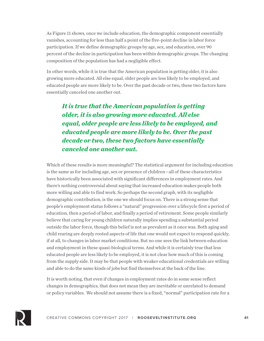As Figure 11 shows, once we include education, the demographic component essentially vanishes, accounting for less than half a point of the five-point decline in labor force participation. If we define demographic groups by age, sex, and education, over 90 percent of the decline in participation has been within demographic groups. The changing composition of the population has had a negligible effect.

In other words, while it is true that the American population is getting older, it is also growing more educated. All else equal, older people are less likely to be employed, and educated people are more likely to be. Over the past decade or two, these two factors have essentially canceled one another out.

*It is true that the American population is getting older, it is also growing more educated. All else equal, older people are less likely to be employed, and educated people are more likely to be. Over the past decade or two, these two factors have essentially canceled one another out.*

Which of these results is more meaningful? The statistical argument for including education is the same as for including age, sex or presence of children—all of these characteristics have historically been associated with significant differences in employment rates. And there's nothing controversial about saying that increased education makes people both more willing and able to find work. So perhaps the second graph, with its negligible demographic contribution, is the one we should focus on. There is a strong sense that people's employment status follows a "natural" progression over a lifecycle first a period of education, then a period of labor, and finally a period of retirement. Some people similarly believe that caring for young children naturally implies spending a substantial period outside the labor force, though this belief is not as prevalent as it once was. Both aging and child rearing are deeply rooted aspects of life that one would not expect to respond quickly, if at all, to changes in labor market conditions. But no one sees the link between education and employment in these quasi-biological terms. And while it is certainly true that less educated people are less likely to be employed, it is not clear how much of this is coming from the supply side. It may be that people with weaker educational credentials are willing and able to do the same kinds of jobs but find themselves at the back of the line.

It is worth noting, that even if changes in employment rates do in some sense reflect changes in demographics, that does not mean they are inevitable or unrelated to demand or policy variables. We should not assume there is a fixed, "normal" participation rate for a

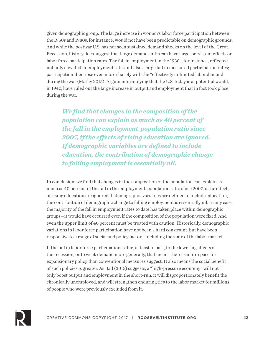given demographic group. The large increase in women's labor force participation between the 1950s and 1980s, for instance, would not have been predictable on demographic grounds. And while the postwar U.S. has not seen sustained demand shocks on the level of the Great Recession, history does suggest that large demand shifts can have large, persistent effects on labor force participation rates. The fall in employment in the 1930s, for instance, reflected not only elevated unemployment rates but also a large fall in measured participation rates; participation then rose even more sharply with the "effectively unlimited labor demand" during the war (Mathy 2015). Arguments implying that the U.S. today is at potential would, in 1940, have ruled out the large increase in output and employment that in fact took place during the war.

*We find that changes in the composition of the population can explain as much as 40 percent of the fall in the employment-population ratio since 2007, if the effects of rising education are ignored. If demographic variables are defined to include education, the contribution of demographic change to falling employment is essentially nil.*

In conclusion, we find that changes in the composition of the population can explain as much as 40 percent of the fall in the employment-population ratio since 2007, if the effects of rising education are ignored. If demographic variables are defined to include education, the contribution of demographic change to falling employment is essentially nil. In any case, the majority of the fall in employment rates to date has taken place within demographic groups—it would have occurred even if the composition of the population were fixed. And even the upper limit of 40 percent must be treated with caution. Historically, demographic variations in labor force participation have not been a hard constraint, but have been responsive to a range of social and policy factors, including the state of the labor market.

If the fall in labor force participation is due, at least in part, to the lowering effects of the recession, or to weak demand more generally, that means there is more space for expansionary policy than conventional measures suggest. It also means the social benefit of such policies is greater. As Ball (2015) suggests, a "high-pressure economy" will not only boost output and employment in the short-run, it will disproportionately benefit the chronically unemployed, and will strengthen enduring ties to the labor market for millions of people who were previously excluded from it.

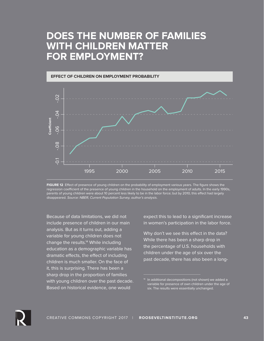## **DOES THE NUMBER OF FAMILIES WITH CHILDREN MATTER FOR EMPLOYMENT?**



**FIGURE 12** Effect of presence of young children on the probability of employment various years. The figure shows the regression coefficient of the presence of young children in the household on the employment of adults. In the early 1990s, parents of young children were about 10 percent less likely to be in the labor force; but by 2010, this effect had largely disappeared. *Source: NBER, Current Population Survey, author's analysis*.

Because of data limitations, we did not include presence of children in our main analysis. But as it turns out, adding a variable for young children does not change the results. $14$  While including education as a demographic variable has dramatic effects, the effect of including children is much smaller. On the face of it, this is surprising. There has been a sharp drop in the proportion of families with young children over the past decade. Based on historical evidence, one would

expect this to lead to a significant increase in women's participation in the labor force.

Why don't we see this effect in the data? While there has been a sharp drop in the percentage of U.S. households with children under the age of six over the past decade, there has also been a long-



<sup>&</sup>lt;sup>14</sup> In additional decompositions (not shown) we added a variable for presence of own children under the age of six. The results were essentially unchanged.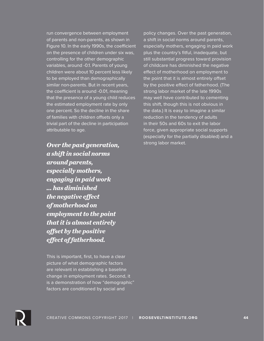run convergence between employment of parents and non-parents, as shown in Figure 10. In the early 1990s, the coefficient on the presence of children under six was, controlling for the other demographic variables, around -0.1. Parents of young children were about 10 percent less likely to be employed than demographically similar non-parents. But in recent years, the coefficient is around -0.01, meaning that the presence of a young child reduces the estimated employment rate by only one percent. So the decline in the share of families with children offsets only a trivial part of the decline in participation attributable to age.

**Over the past generation,** *Strong labor market. a shift in social norms around parents, especially mothers, engaging in paid work … has diminished the negative effect of motherhood on employment to the point that it is almost entirely offset by the positive effect of fatherhood.*

This is important, first, to have a clear picture of what demographic factors are relevant in establishing a baseline change in employment rates. Second, it is a demonstration of how "demographic" factors are conditioned by social and

policy changes. Over the past generation, a shift in social norms around parents, especially mothers, engaging in paid work plus the country's fitful, inadequate, but still substantial progress toward provision of childcare has diminished the negative effect of motherhood on employment to the point that it is almost entirely offset by the positive effect of fatherhood. (The strong labor market of the late 1990s may well have contributed to cementing this shift, though this is not obvious in the data.) It is easy to imagine a similar reduction in the tendency of adults in their 50s and 60s to exit the labor force, given appropriate social supports (especially for the partially disabled) and a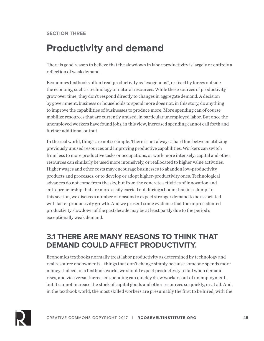### **SECTION THREE**

# **Productivity and demand**

There is good reason to believe that the slowdown in labor productivity is largely or entirely a reflection of weak demand.

Economics textbooks often treat productivity as "exogenous", or fixed by forces outside the economy, such as technology or natural resources. While these sources of productivity grow over time, they don't respond directly to changes in aggregate demand. A decision by government, business or households to spend more does not, in this story, do anything to improve the capabilities of businesses to produce more. More spending can of course mobilize resources that are currently unused, in particular unemployed labor. But once the unemployed workers have found jobs, in this view, increased spending cannot call forth and further additional output.

In the real world, things are not so simple. There is not always a hard line between utilizing previously unused resources and improving productive capabilities. Workers can switch from less to more productive tasks or occupations, or work more intensely; capital and other resources can similarly be used more intensively, or reallocated to higher value activities. Higher wages and other costs may encourage businesses to abandon low-productivity products and processes, or to develop or adopt higher-productivity ones. Technological advances do not come from the sky, but from the concrete activities of innovation and entrepreneurship that are more easily carried out during a boom than in a slump. In this section, we discuss a number of reasons to expect stronger demand to be associated with faster productivity growth. And we present some evidence that the unprecedented productivity slowdown of the past decade may be at least partly due to the period's exceptionally weak demand.

### **3.1 THERE ARE MANY REASONS TO THINK THAT DEMAND COULD AFFECT PRODUCTIVITY.**

Economics textbooks normally treat labor productivity as determined by technology and real resource endowments—things that don't change simply because someone spends more money. Indeed, in a textbook world, we should expect productivity to fall when demand rises, and vice versa. Increased spending can quickly draw workers out of unemployment, but it cannot increase the stock of capital goods and other resources so quickly, or at all. And, in the textbook world, the most skilled workers are presumably the first to be hired, with the

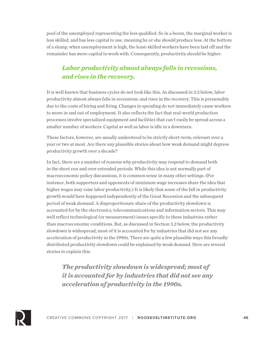pool of the unemployed representing the less qualified. So in a boom, the marginal worker is less skilled, and has less capital to use, meaning he or she should produce less. At the bottom of a slump, when unemployment is high, the least-skilled workers have been laid off and the remainder has more capital to work with. Consequently, productivity should be higher.

### *Labor productivity almost always falls in recessions, and rises in the recovery.*

It is well known that business cycles do not look like this. As discussed in 3.3 below, labor productivity almost always falls in recessions, and rises in the recovery. This is presumably due to the costs of hiring and firing. Changes in spending do not immediately cause workers to move in and out of employment. It also reflects the fact that real-world production processes involve specialized equipment and facilities that can't easily be spread across a smaller number of workers. Capital as well as labor is idle in a downturn.

These factors, however, are usually understood to be strictly short-term, relevant over a year or two at most. Are there any plausible stories about how weak demand might depress productivity growth over a decade?

In fact, there are a number of reasons why productivity may respond to demand both in the short run and over extended periods. While this idea is not normally part of macroeconomic policy discussions, it is common sense in many other settings. (For instance, both supporters and opponents of minimum wage increases share the idea that higher wages may raise labor productivity.) It is likely that some of the fall in productivity growth would have happened independently of the Great Recession and the subsequent period of weak demand. A disproportionate share of the productivity slowdown is accounted for by the electronics, telecommunications and information sectors. This may well reflect technological (or measurement) issues specific to these industries rather than macroeconomic conditions. But, as discussed in Section 3.2 below, the productivity slowdown is widespread; most of it is accounted for by industries that did not see any acceleration of productivity in the 1990s. There are quite a few plausible ways this broadly distributed productivity slowdown could be explained by weak demand. Here are several stories to explain this.

*The productivity slowdown is widespread; most of it is accounted for by industries that did not see any acceleration of productivity in the 1990s.* 

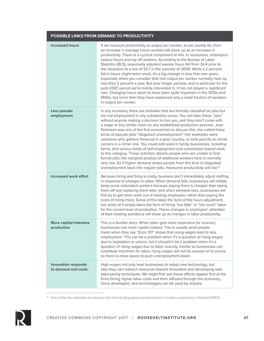| POSSIBLE LINKS FROM DEMAND TO PRODUCTIVITY         |                                                                                                                                                                                                                                                                                                                                                                                                                                                                                                                                                                                                                                                                                                                                                                                                                                                                                                                                                                                                                              |
|----------------------------------------------------|------------------------------------------------------------------------------------------------------------------------------------------------------------------------------------------------------------------------------------------------------------------------------------------------------------------------------------------------------------------------------------------------------------------------------------------------------------------------------------------------------------------------------------------------------------------------------------------------------------------------------------------------------------------------------------------------------------------------------------------------------------------------------------------------------------------------------------------------------------------------------------------------------------------------------------------------------------------------------------------------------------------------------|
| <b>Increased hours</b>                             | If we measure productivity as output per worker, as we usually do, then<br>an increase in average hours worked will show up as an increase in<br>productivity. There is a cyclical component to this. In recessions, employers<br>reduce hours and lay off workers. According to the Bureau of Labor<br>Statistics (BLS), seasonally adjusted weekly hours fell from 34.4 prior to<br>the recession to a low of 33.7 in the summer of 2009. While a 2 percent<br>fall in hours might seem small, it's a big change in less than two years,<br>especially when you consider that real output per worker normally rises by<br>less than 2 percent a year. But over longer periods, and in particular for the<br>post-2007 period we're mainly interested in, it has not played a significant<br>role. Changing hours seem to have been quite important in the 1930s and<br>1940s, but since then they have explained only a small fraction of variation<br>in output per worker.                                               |
| Less pseudo<br>employment                          | In any economy, there are activities that are formally classified as jobs but<br>are not employment in any substantive sense. You can take these "jobs"<br>without anyone making a decision to hire you, and they don't come with<br>a wage or any similar claim on any established production process. Joan<br>Robinson was one of the first economists to discuss this; she called these<br>kinds of pseudo-jobs "disguised unemployment." Her examples were<br>someone who gathers firewood in a poor country, or sells pencils on street<br>corners in a richer one. You could add work in family businesses, including<br>farms, and various kinds of self-employment and commission-based work<br>to this category. These activities absorb people who are unable to find<br>formal jobs; the marginal product of additional workers here is normally<br>very low. So if higher demand draws people from this kind of disguised<br>unemployment back into regular jobs, measured productivity will rise. <sup>15</sup> |
| <b>Increased work effort</b>                       | Because hiring and firing is costly, business don't immediately adjust staffing<br>in response to changes in sales. When demand falls, businesses will initially<br>keep some redundant workers because paying them is cheaper than laying<br>them off and replacing them later; and when demand rises, businesses will<br>first try to get more work out of existing employees rather than paying the<br>costs of hiring more. Some of this takes the form of the hours adjustment,<br>but some of it simply takes the form of hiring "too little" or "too much" labor<br>for the current level of production. These changes in employers' utilization<br>of their existing workforce will show up as changes in labor productivity.                                                                                                                                                                                                                                                                                        |
| <b>More capital-intensive</b><br>production        | This is a familiar story: When labor gets more expensive (or scarcer),<br>businesses use more capital instead. This is usually what people<br>mean when they say "Econ 101" shows that rising wages lead to less<br>employment. This can be a problem when it's a question of rising wages<br>due to legislation or unions, but it shouldn't be a problem when it's a<br>question of rising wages due to labor scarcity. Insofar as businesses can<br>substitute machines for labor, rising wages will not be passed on to prices,<br>so there is more space to push unemployment down.                                                                                                                                                                                                                                                                                                                                                                                                                                      |
| <b>Innovation responds</b><br>to demand and costs. | High wages not only lead businesses to adopt new technology, but<br>also they can redirect resources toward innovation and developing new<br>laborsaving techniques. We might first see these affects appear first at the<br>firms facing higher labor costs and then diffused through the economy.,<br>Once developed, new technologies can be used by anyone.                                                                                                                                                                                                                                                                                                                                                                                                                                                                                                                                                                                                                                                              |

<sup>&</sup>lt;sup>15</sup> One of the few attempts to measure this kind of disguised unemployment in modern economies is Eatwell (1997).



 $\overline{a}$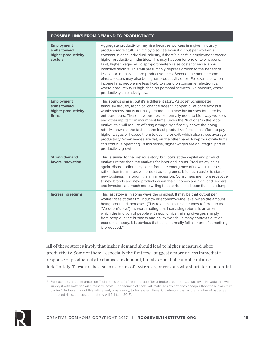#### **POSSIBLE LINKS FROM DEMAND TO PRODUCTIVITY**

| <b>Employment</b><br>shifts toward<br>higher-productivity<br>sectors | Aggregate productivity may rise because workers in a given industry<br>produce more stuff. But it may also rise even if output per worker is<br>constant in each individual industry, if there's a shift in employment toward<br>higher-productivity industries. This may happen for one of two reasons:<br>First, higher wages will disproportionately raise costs for more labor-<br>intensive sectors. This will presumably depress growth to the benefit of<br>less labor-intensive, more productive ones. Second, the more income-<br>elastic sectors may also be higher-productivity ones. For example, when<br>income falls, people are less likely to spend on consumer electronics,<br>where productivity is high, than on personal services like haircuts, where<br>productivity is relatively low. |
|----------------------------------------------------------------------|---------------------------------------------------------------------------------------------------------------------------------------------------------------------------------------------------------------------------------------------------------------------------------------------------------------------------------------------------------------------------------------------------------------------------------------------------------------------------------------------------------------------------------------------------------------------------------------------------------------------------------------------------------------------------------------------------------------------------------------------------------------------------------------------------------------|
| <b>Employment</b><br>shifts toward<br>higher-productivity<br>firms   | This sounds similar, but it's a different story. As Josef Schumpeter<br>famously argued, technical change doesn't happen all at once across a<br>whole society, but is normally embodied in new businesses founded by<br>entrepreneurs. These new businesses normally need to bid away workers<br>and other inputs from incumbent firms. Given the "frictions" in the labor<br>market, this will require offering a wage significantly above the going<br>rate. Meanwhile, the fact that the least productive firms can't afford to pay<br>higher wages will cause them to decline or exit, which also raises average<br>productivity. When wages are flat, on the other hand, low-productivity firms<br>can continue operating. In this sense, higher wages are an integral part of<br>productivity growth.  |
| <b>Strong demand</b><br>favors innovation                            | This is similar to the previous story, but looks at the capital and product<br>markets rather than the markets for labor and inputs. Productivity gains,<br>again, disproportionately come from the emergence of new businesses,<br>rather than from improvements at existing ones. It is much easier to start a<br>new business in a boom than in a recession. Consumers are more receptive<br>to new brands and new products when their incomes are high, and lenders<br>and investors are much more willing to take risks in a boom than in a slump.                                                                                                                                                                                                                                                       |
| <b>Increasing returns</b>                                            | This last story is in some ways the simplest. It may be that output per<br>worker rises at the firm, industry or economy-wide level when the amount<br>being produced increases. (This relationship is sometimes referred to as<br>"Verdoorn's law.") It's worth noting that increasing returns is an area in<br>which the intuition of people with economics training diverges sharply<br>from people in the business and policy worlds. In many contexts outside<br>economic theory, it is obvious that costs normally fall as more of something<br>is produced. <sup>16</sup>                                                                                                                                                                                                                              |

All of these stories imply that higher demand should lead to higher measured labor productivity. Some of them—especially the first few—suggest a more or less immediate response of productivity to changes in demand, but also one that cannot continue indefinitely. These are best seen as forms of hysteresis, or reasons why short-term potential



<sup>16</sup> For example, a recent article on Tesla notes that "a few years ago, Tesla broke ground on … a facility in Nevada that will supply it with batteries on a massive scale … economies of scale will make Tesla's batteries cheaper than those from third parties." To the author of this article and, presumably, to Tesla executives, it is obvious that as the number of batteries produced rises, the cost per battery will fall (Lee 2017).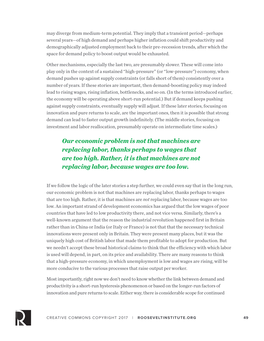may diverge from medium-term potential. They imply that a transient period—perhaps several years—of high demand and perhaps higher inflation could shift productivity and demographically adjusted employment back to their pre-recession trends, after which the space for demand policy to boost output would be exhausted.

Other mechanisms, especially the last two, are presumably slower. These will come into play only in the context of a sustained "high-pressure" (or "low-pressure") economy, when demand pushes up against supply constraints (or falls short of them) consistently over a number of years. If these stories are important, then demand-boosting policy may indeed lead to rising wages, rising inflation, bottlenecks, and so on. (In the terms introduced earlier, the economy will be operating above short-run potential.) But if demand keeps pushing against supply constraints, eventually supply will adjust. If these later stories, focusing on innovation and pure returns to scale, are the important ones, then it is possible that strong demand can lead to faster output growth indefinitely. (The middle stories, focusing on investment and labor reallocation, presumably operate on intermediate time scales.)

### *Our economic problem is not that machines are replacing labor, thanks perhaps to wages that are too high. Rather, it is that machines are not replacing labor, because wages are too low.*

If we follow the logic of the later stories a step further, we could even say that in the long run, our economic problem is not that machines are replacing labor, thanks perhaps to wages that are too high. Rather, it is that machines are *not* replacing labor, because wages are too low. An important strand of development economics has argued that the low wages of poor countries that have led to low productivity there, and not vice versa. Similarly, there's a well-known argument that the reason the industrial revolution happened first in Britain rather than in China or India (or Italy or France) is not that that the necessary technical innovations were present only in Britain. They were present many places, but it was the uniquely high cost of British labor that made them profitable to adopt for production. But we needn't accept these broad historical claims to think that the efficiency with which labor is used will depend, in part, on its price and availability. There are many reasons to think that a high-pressure economy, in which unemployment is low and wages are rising, will be more conducive to the various processes that raise output per worker.

Most importantly, right now we don't need to know whether the link between demand and productivity is a short-run hysteresis phenomenon or based on the longer-run factors of innovation and pure returns to scale. Either way, there is considerable scope for continued

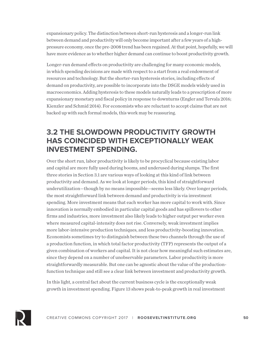expansionary policy. The distinction between short-run hysteresis and a longer-run link between demand and productivity will only become important after a few years of a highpressure economy, once the pre-2008 trend has been regained. At that point, hopefully, we will have more evidence as to whether higher demand can continue to boost productivity growth.

Longer-run demand effects on productivity are challenging for many economic models, in which spending decisions are made with respect to a start from a real endowment of resources and technology. But the shorter-run hysteresis stories, including effects of demand on productivity, are possible to incorporate into the DSGE models widely used in macroeconomics. Adding hysteresis to these models naturally leads to a prescription of more expansionary monetary and fiscal policy in response to downturns (Engler and Tervala 2016; Kienzler and Schmid 2014). For economists who are reluctant to accept claims that are not backed up with such formal models, this work may be reassuring.

### **3.2 THE SLOWDOWN PRODUCTIVITY GROWTH HAS COINCIDED WITH EXCEPTIONALLY WEAK INVESTMENT SPENDING.**

Over the short run, labor productivity is likely to be procyclical because existing labor and capital are more fully used during booms, and underused during slumps. The first three stories in Section 3.1 are various ways of looking at this kind of link between productivity and demand. As we look at longer periods, this kind of straightforward underutilization—though by no means impossible—seems less likely. Over longer periods, the most straightforward link between demand and productivity is via investment spending. More investment means that each worker has more capital to work with. Since innovation is normally embodied in particular capital goods and has spillovers to other firms and industries, more investment also likely leads to higher output per worker even where measured capital-intensity does not rise. Conversely, weak investment implies more labor-intensive production techniques, and less productivity-boosting innovation. Economists sometimes try to distinguish between these two channels through the use of a production function, in which total factor productivity (TFP) represents the output of a given combination of workers and capital. It is not clear how meaningful such estimates are, since they depend on a number of unobservable parameters. Labor productivity is more straightforwardly measurable. But one can be agnostic about the value of the productionfunction technique and still see a clear link between investment and productivity growth.

In this light, a central fact about the current business cycle is the exceptionally weak growth in investment spending. Figure 13 shows peak-to-peak growth in real investment

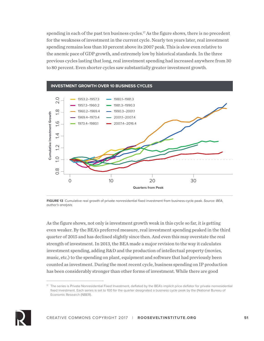spending in each of the past ten business cycles.<sup>17</sup> As the figure shows, there is no precedent for the weakness of investment in the current cycle. Nearly ten years later, real investment spending remains less than 10 percent above its 2007 peak. This is slow even relative to the anemic pace of GDP growth, and extremely low by historical standards. In the three previous cycles lasting that long, real investment spending had increased anywhere from 30 to 80 percent. Even shorter cycles saw substantially greater investment growth.



**FIGURE 13** Cumulative real growth of private nonresidential fixed investment from business-cycle peak. *Source: BEA, author's analysis.*

As the figure shows, not only is investment growth weak in this cycle so far, it is getting even weaker. By the BEA's preferred measure, real investment spending peaked in the third quarter of 2015 and has declined slightly since then. And even this may overstate the real strength of investment. In 2013, the BEA made a major revision to the way it calculates investment spending, adding R&D and the production of intellectual property (movies, music, etc.) to the spending on plant, equipment and software that had previously been counted as investment. During the most recent cycle, business spending on IP production has been considerably stronger than other forms of investment. While there are good



 $\pi$  The series is Private Nonresidential Fixed Investment, deflated by the BEA's implicit price deflator for private nonresidential fixed investment. Each series is set to 100 for the quarter designated a business cycle peak by the (National Bureau of Economic Research (NBER).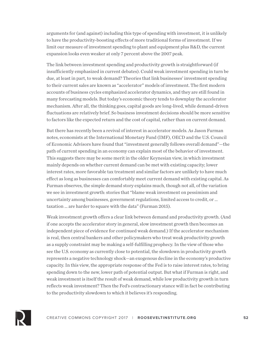arguments for (and against) including this type of spending with investment, it is unlikely to have the productivity-boosting effects of more traditional forms of investment. If we limit our measure of investment spending to plant and equipment plus R&D, the current expansion looks even weaker at only 7 percent above the 2007 peak.

The link between investment spending and productivity growth is straightforward (if insufficiently emphasized in current debates). Could weak investment spending in turn be due, at least in part, to weak demand? Theories that link businesses' investment spending to their current sales are known as "accelerator" models of investment. The first modern accounts of business cycles emphasized accelerator dynamics, and they are still found in many forecasting models. But today's economic theory tends to downplay the accelerator mechanism. After all, the thinking goes, capital goods are long-lived, while demand-driven fluctuations are relatively brief. So business investment decisions should be more sensitive to factors like the expected return and the cost of capital, rather than on current demand.

But there has recently been a revival of interest in accelerator models. As Jason Furman notes, economists at the International Monetary Fund (IMF), OECD and the U.S. Council of Economic Advisors have found that "investment generally follows overall demand"—the path of current spending in an economy can explain most of the behavior of investment. This suggests there may be some merit in the older Keynesian view, in which investment mainly depends on whether current demand can be met with existing capacity; lower interest rates, more favorable tax treatment and similar factors are unlikely to have much effect as long as businesses can comfortably meet current demand with existing capital. As Furman observes, the simple demand story explains much, though not all, of the variation we see in investment growth: stories that "blame weak investment on pessimism and uncertainty among businesses, government regulations, limited access to credit, or … taxation … are harder to square with the data" (Furman 2015).

Weak investment growth offers a clear link between demand and productivity growth. (And if one accepts the accelerator story in general, slow investment growth then becomes an independent piece of evidence for continued weak demand.) If the accelerator mechanism is real, then central bankers and other policymakers who treat weak productivity growth as a supply constraint may be making a self-fulfilling prophecy. In the view of those who see the U.S. economy as currently close to potential, the slowdown in productivity growth represents a negative technology shock—an exogenous decline in the economy's productive capacity. In this view, the appropriate response of the Fed is to raise interest rates, to bring spending down to the new, lower path of potential output. But what if Furman is right, and weak investment is itself the result of weak demand, while low productivity growth in turn reflects weak investment? Then the Fed's contractionary stance will in fact be contributing to the productivity slowdown to which it believes it's responding.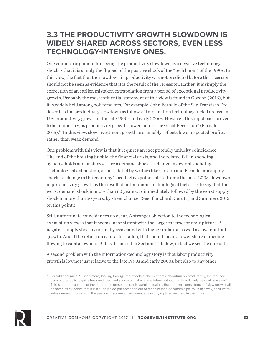### **3.3 THE PRODUCTIVITY GROWTH SLOWDOWN IS WIDELY SHARED ACROSS SECTORS, EVEN LESS TECHNOLOGY-INTENSIVE ONES.**

One common argument for seeing the productivity slowdown as a negative technology shock is that it is simply the flipped of the positive shock of the "tech boom" of the 1990s. In this view, the fact that the slowdown in productivity was not predicted before the recession should not be seen as evidence that it is the result of the recession. Rather, it is simply the correction of an earlier, mistaken extrapolation from a period of exceptional productivity growth. Probably the most influential statement of this view is found in Gordon (2016), but it is widely held among policymakers. For example, John Fernald of the San Francisco Fed describes the productivity slowdown as follows: "Information technology fueled a surge in U.S. productivity growth in the late 1990s and early 2000s. However, this rapid pace proved to be temporary, as productivity growth slowed before the Great Recession" (Fernald 2015).18 In this view, slow investment growth presumably reflects lower expected profits, rather than weak demand.

One problem with this view is that it requires an exceptionally unlucky coincidence. The end of the housing bubble, the financial crisis, and the related fall in spending by households and businesses are a demand shock—a change in desired spending. Technological exhaustion, as postulated by writers like Gordon and Fernald, is a supply shock—a change in the economy's productive potential. To frame the post-2008 slowdown in productivity growth as the result of autonomous technological factors is to say that the worst demand shock in more than 60 years was immediately followed by the worst supply shock in more than 50 years, by sheer chance. (See Blanchard, Cerutti, and Summers 2015 on this point.)

Still, unfortunate coincidences do occur. A stronger objection to the technologicalexhaustion view is that it seems inconsistent with the larger macroeconomic picture. A negative supply shock is normally associated with higher inflation as well as lower output growth. And if the return on capital has fallen, that should mean a lower share of income flowing to capital owners. But as discussed in Section 4.1 below, in fact we see the opposite.

A second problem with the information-technology story is that labor productivity growth is low not just relative to the late 1990s and early 2000s, but also to any other



<sup>&</sup>lt;sup>18</sup> Fernald continues: "Furthermore, looking through the effects of the economic downturn on productivity, the reduced pace of productivity gains has continued and suggests that average future output growth will likely be relatively slow." This is a good example of the danger the present paper is warning against, that the mere persistence of slow growth will be taken as evidence that it is a supply-side phenomenon out of reach of macroeconomic policy. In this way, a failure to solve demand problems in the past can become an argument against trying to solve them in the future.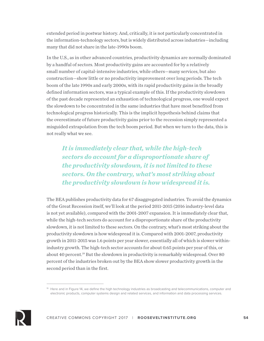extended period in postwar history. And, critically, it is not particularly concentrated in the information-technology sectors, but is widely distributed across industries—including many that did not share in the late-1990s boom.

In the U.S., as in other advanced countries, productivity dynamics are normally dominated by a handful of sectors. Most productivity gains are accounted for by a relatively small number of capital-intensive industries, while others—many services, but also construction—show little or no productivity improvement over long periods. The tech boom of the late 1990s and early 2000s, with its rapid productivity gains in the broadly defined information sectors, was a typical example of this. If the productivity slowdown of the past decade represented an exhaustion of technological progress, one would expect the slowdown to be concentrated in the same industries that have most benefited from technological progress historically. This is the implicit hypothesis behind claims that the overestimate of future productivity gains prior to the recession simply represented a misguided extrapolation from the tech boom period. But when we turn to the data, this is not really what we see.

*It is immediately clear that, while the high-tech sectors do account for a disproportionate share of the productivity slowdown, it is not limited to these sectors. On the contrary, what's most striking about the productivity slowdown is how widespread it is.*

The BEA publishes productivity data for 67 disaggregated industries. To avoid the dynamics of the Great Recession itself, we'll look at the period 2011-2015 (2016 industry-level data is not yet available), compared with the 2001-2007 expansion. It is immediately clear that, while the high-tech sectors do account for a disproportionate share of the productivity slowdown, it is not limited to these sectors. On the contrary, what's most striking about the productivity slowdown is how widespread it is. Compared with 2001-2007, productivity growth in 2011-2015 was 1.6 points per year slower, essentially all of which is slower withinindustry growth. The high-tech sector accounts for about 0.65 points per year of this, or about 40 percent.19 But the slowdown in productivity is remarkably widespread. Over 80 percent of the industries broken out by the BEA show slower productivity growth in the second period than in the first.



<sup>19</sup> Here and in Figure 14, we define the high technology industries as broadcasting and telecommunications, computer and electronic products, computer systems design and related services, and information and data processing services.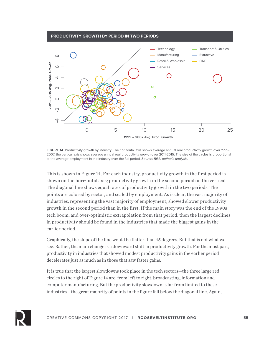

**FIGURE 14** Productivity growth by industry. The horizontal axis shows average annual real productivity growth over 1999- 2007, the vertical axis shows average annual real productivity growth over 2011-2015. The size of the circles is proportional to the average employment in the industry over the full period. *Source: BEA, author's analysis.* 

**1999 – 2007 Avg. Prod. Growth**

This is shown in Figure 14. For each industry, productivity growth in the first period is shown on the horizontal axis; productivity growth in the second period on the vertical. The diagonal line shows equal rates of productivity growth in the two periods. The points are colored by sector, and scaled by employment. As is clear, the vast majority of industries, representing the vast majority of employment, showed slower productivity growth in the second period than in the first. If the main story was the end of the 1990s tech boom, and over-optimistic extrapolation from that period, then the largest declines in productivity should be found in the industries that made the biggest gains in the earlier period.

Graphically, the slope of the line would be flatter than 45 degrees. But that is not what we see. Rather, the main change is a downward shift in productivity growth. For the most part, productivity in industries that showed modest productivity gains in the earlier period decelerates just as much as in those that saw faster gains.

It is true that the largest slowdowns took place in the tech sectors—the three large red circles to the right of Figure 14 are, from left to right, broadcasting, information and computer manufacturing. But the productivity slowdown is far from limited to these industries—the great majority of points in the figure fall below the diagonal line. Again,

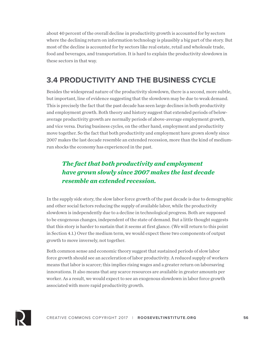about 40 percent of the overall decline in productivity growth is accounted for by sectors where the declining return on information technology is plausibly a big part of the story. But most of the decline is accounted for by sectors like real estate, retail and wholesale trade, food and beverages, and transportation. It is hard to explain the productivity slowdown in these sectors in that way.

## **3.4 PRODUCTIVITY AND THE BUSINESS CYCLE**

Besides the widespread nature of the productivity slowdown, there is a second, more subtle, but important, line of evidence suggesting that the slowdown may be due to weak demand. This is precisely the fact that the past decade has seen large declines in both productivity and employment growth. Both theory and history suggest that extended periods of belowaverage productivity growth are normally periods of above-average employment growth, and vice versa. During business cycles, on the other hand, employment and productivity move together. So the fact that both productivity and employment have grown slowly since 2007 makes the last decade resemble an extended recession, more than the kind of mediumrun shocks the economy has experienced in the past.

### *The fact that both productivity and employment have grown slowly since 2007 makes the last decade resemble an extended recession.*

In the supply side story, the slow labor force growth of the past decade is due to demographic and other social factors reducing the supply of available labor, while the productivity slowdown is independently due to a decline in technological progress. Both are supposed to be exogenous changes, independent of the state of demand. But a little thought suggests that this story is harder to sustain that it seems at first glance. (We will return to this point in Section 4.1.) Over the medium term, we would expect these two components of output growth to move inversely, not together.

Both common sense and economic theory suggest that sustained periods of slow labor force growth should see an acceleration of labor productivity. A reduced supply of workers means that labor is scarcer; this implies rising wages and a greater return on laborsaving innovations. It also means that any scarce resources are available in greater amounts per worker. As a result, we would expect to see an exogenous slowdown in labor force growth associated with more rapid productivity growth.

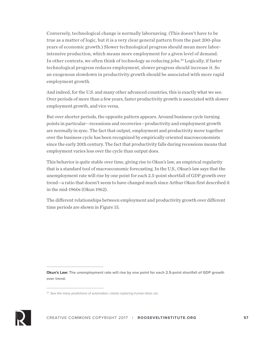Conversely, technological change is normally laborsaving. (This doesn't have to be true as a matter of logic, but it is a very clear general pattern from the past 200-plus years of economic growth.) Slower technological progress should mean more laborintensive production, which means more employment for a given level of demand. In other contexts, we often think of technology as reducing jobs.<sup>20</sup> Logically, if faster technological progress reduces employment, slower progress should increase it. So an exogenous slowdown in productivity growth should be associated with more rapid employment growth.

And indeed, for the U.S. and many other advanced countries, this is exactly what we see. Over periods of more than a few years, faster productivity growth is associated with slower employment growth, and vice versa.

But over shorter periods, the opposite pattern appears. Around business cycle turning points in particular—recessions and recoveries—productivity and employment growth are normally in sync. The fact that output, employment and productivity move together over the business cycle has been recognized by empirically oriented macroeconomists since the early 20th century. The fact that productivity falls during recessions means that employment varies less over the cycle than output does.

This behavior is quite stable over time, giving rise to Okun's law, an empirical regularity that is a standard tool of macroeconomic forecasting. In the U.S., Okun's law says that the unemployment rate will rise by one point for each 2.5-point shortfall of GDP growth over trend—a ratio that doesn't seem to have changed much since Arthur Okun first described it in the mid-1960s (Okun 1962).

The different relationships between employment and productivity growth over different time periods are shown in Figure 15.

**Okun's Law: The unemployment rate will rise by one point for each 2.5-point shortfall of GDP growth over trend.**



<sup>&</sup>lt;sup>20</sup> See the many predictions of automation, robots replacing human labor, etc.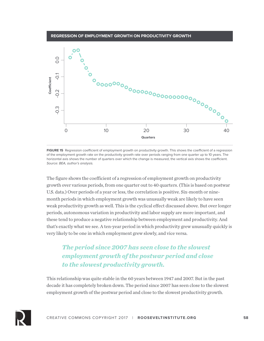#### **REGRESSION OF EMPLOYMENT GROWTH ON PRODUCTIVITY GROWTH**



**FIGURE 15** Regression coefficient of employment growth on productivity growth. This shows the coefficient of a regression of the employment growth rate on the productivity growth rate over periods ranging from one quarter up to 10 years. The horizontal axis shows the number of quarters over which the change is measured, the vertical axis shows the coefficient. *Source: BEA, author's analysis.*

The figure shows the coefficient of a regression of employment growth on productivity growth over various periods, from one quarter out to 40 quarters. (This is based on postwar U.S. data.) Over periods of a year or less, the correlation is positive. Six-month or ninemonth periods in which employment growth was unusually weak are likely to have seen weak productivity growth as well. This is the cyclical effect discussed above. But over longer periods, autonomous variation in productivity and labor supply are more important, and these tend to produce a negative relationship between employment and productivity. And that's exactly what we see. A ten-year period in which productivity grew unusually quickly is very likely to be one in which employment grew slowly, and vice versa.

### *The period since 2007 has seen close to the slowest employment growth of the postwar period and close to the slowest productivity growth.*

This relationship was quite stable in the 60 years between 1947 and 2007. But in the past decade it has completely broken down. The period since 2007 has seen close to the slowest employment growth of the postwar period and close to the slowest productivity growth.

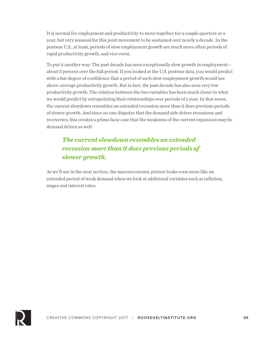It is normal for employment and productivity to move together for a couple quarters or a year, but very unusual for this joint movement to be sustained over nearly a decade. In the postwar U.S., at least, periods of slow employment growth are much more often periods of rapid productivity growth, and vice versa.

To put it another way: The past decade has seen exceptionally slow growth in employment about 5 percent over the full period. If you looked at the U.S. postwar data, you would predict with a fair degree of confidence that a period of such slow employment growth would see above-average productivity growth. But in fact, the past decade has also seen very low productivity growth. The relation between the two variables has been much closer to what we would predict by extrapolating their relationships over periods of a year. In that sense, the current slowdown resembles an extended recession more than it does previous periods of slower growth. And since no one disputes that the demand side drives recessions and recoveries, this creates a prima facie case that the weakness of the current expansion may be demand driven as well.

### *The current slowdown resembles an extended recession more than it does previous periods of slower growth.*

As we'll see in the next section, the macroeconomic picture looks even more like an extended period of weak demand when we look at additional variables such as inflation, wages and interest rates.

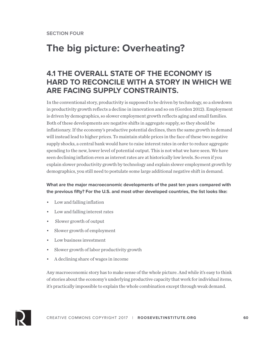# **The big picture: Overheating?**

## **4.1 THE OVERALL STATE OF THE ECONOMY IS HARD TO RECONCILE WITH A STORY IN WHICH WE ARE FACING SUPPLY CONSTRAINTS.**

In the conventional story, productivity is supposed to be driven by technology, so a slowdown in productivity growth reflects a decline in innovation and so on (Gordon 2012). Employment is driven by demographics, so slower employment growth reflects aging and small families. Both of these developments are negative shifts in aggregate supply, so they should be inflationary. If the economy's productive potential declines, then the same growth in demand will instead lead to higher prices. To maintain stable prices in the face of these two negative supply shocks, a central bank would have to raise interest rates in order to reduce aggregate spending to the new, lower level of potential output. This is not what we have seen. We have seen declining inflation even as interest rates are at historically low levels. So even if you explain slower productivity growth by technology and explain slower employment growth by demographics, you still need to postulate some large additional negative shift in demand.

### **What are the major macroeconomic developments of the past ten years compared with the previous fifty? For the U.S. and most other developed countries, the list looks like:**

- Low and falling inflation
- Low and falling interest rates
- Slower growth of output
- Slower growth of employment
- Low business investment
- Slower growth of labor productivity growth
- A declining share of wages in income

Any macroeconomic story has to make sense of the whole picture. And while it's easy to think of stories about the economy's underlying productive capacity that work for individual items, it's practically impossible to explain the whole combination except through weak demand.

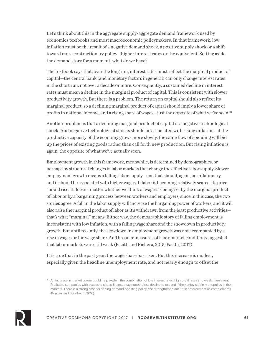Let's think about this in the aggregate supply-aggregate demand framework used by economics textbooks and most macroeconomic policymakers. In that framework, low inflation must be the result of a negative demand shock, a positive supply shock or a shift toward more contractionary policy—higher interest rates or the equivalent. Setting aside the demand story for a moment, what do we have?

The textbook says that, over the long run, interest rates must reflect the marginal product of capital—the central bank (and monetary factors in general) can only change interest rates in the short run, not over a decade or more. Consequently, a sustained decline in interest rates must mean a decline in the marginal product of capital. This is consistent with slower productivity growth. But there is a problem. The return on capital should also reflect its marginal product, so a declining marginal product of capital should imply a lower share of profits in national income, and a rising share of wages—just the opposite of what we've seen.<sup>21</sup>

Another problem is that a declining marginal product of capital is a negative technological shock. And negative technological shocks should be associated with rising inflation—if the productive capacity of the economy grows more slowly, the same flow of spending will bid up the prices of existing goods rather than call forth new production. But rising inflation is, again, the opposite of what we've actually seen.

Employment growth in this framework, meanwhile, is determined by demographics, or perhaps by structural changes in labor markets that change the effective labor supply. Slower employment growth means a falling labor supply—and that should, again, be inflationary, and it should be associated with higher wages. If labor is becoming relatively scarce, its price should rise. It doesn't matter whether we think of wages as being set by the marginal product of labor or by a bargaining process between workers and employers, since in this case, the two stories agree. A fall in the labor supply will increase the bargaining power of workers, and it will also raise the marginal product of labor as it's withdrawn from the least productive activities that's what "marginal" means. Either way, the demographic story of falling employment is inconsistent with low inflation, with a falling wage share and the showdown in productivity growth. But until recently, the slowdown in employment growth was not accompanied by a rise in wages or the wage share. And broader measures of labor market conditions suggested that labor markets were still weak (Pacitti and Fichera, 2015; Pacitti, 2017).

It is true that in the past year, the wage share has risen. But this increase is modest, especially given the headline unemployment rate, and not nearly enough to offset the



<sup>&</sup>lt;sup>21</sup> An increase in market power could help explain the combination of low interest rates, high profit rates and weak investment. Profitable companies with access to cheap finance may nonetheless decline to expand if they enjoy stable monopolies in their markets. There is a strong case for seeing demand-boosting policy and strengthened anti-trust enforcement as complements (Konczal and Steinbaum 2016).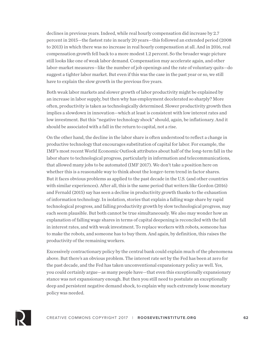declines in previous years. Indeed, while real hourly compensation did increase by 2.7 percent in 2015—the fastest rate in nearly 20 years—this followed an extended period (2008 to 2013) in which there was no increase in real hourly compensation at all. And in 2016, real compensation growth fell back to a more modest 1.2 percent. So the broader wage picture still looks like one of weak labor demand. Compensation may accelerate again, and other labor-market measures—like the number of job openings and the rate of voluntary quits—do suggest a tighter labor market. But even if this was the case in the past year or so, we still have to explain the slow growth in the previous five years.

Both weak labor markets and slower growth of labor productivity might be explained by an increase in labor supply, but then why has employment decelerated so sharply? More often, productivity is taken as technologically determined. Slower productivity growth then implies a slowdown in innovation—which at least is consistent with low interest rates and low investment. But this "negative technology shock" should, again, be inflationary. And it should be associated with a fall in the return to capital, not a rise.

On the other hand, the decline in the labor share is often understood to reflect a change in productive technology that encourages substitution of capital for labor. For example, the IMF's most recent World Economic Outlook attributes about half of the long-term fall in the labor share to technological progress, particularly in information and telecommunications, that allowed many jobs to be automated (IMF 2017). We don't take a position here on whether this is a reasonable way to think about the longer-term trend in factor shares. But it faces obvious problems as applied to the past decade in the U.S. (and other countries with similar experiences). After all, this is the same period that writers like Gordon (2016) and Fernald (2015) say has seen a decline in productivity growth thanks to the exhaustion of information technology. In isolation, stories that explain a falling wage share by rapid technological progress, and falling productivity growth by slow technological progress, may each seem plausible. But both cannot be true simultaneously. We also may wonder how an explanation of falling wage shares in terms of capital deepening is reconciled with the fall in interest rates, and with weak investment. To replace workers with robots, someone has to make the robots, and someone has to buy them. And again, by definition, this raises the productivity of the remaining workers.

Excessively contractionary policy by the central bank could explain much of the phenomena above. But there's an obvious problem. The interest rate set by the Fed has been at zero for the past decade, and the Fed has taken unconventional expansionary policy as well. Yes, you could certainly argue—as many people have—that even this exceptionally expansionary stance was not expansionary enough. But then you still need to postulate an exceptionally deep and persistent negative demand shock, to explain why such extremely loose monetary policy was needed.

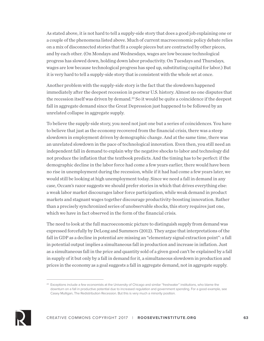As stated above, it is not hard to tell a supply-side story that does a good job explaining one or a couple of the phenomena listed above. Much of current macroeconomic policy debate relies on a mix of disconnected stories that fit a couple pieces but are contracted by other pieces, and by each other. (On Mondays and Wednesdays, wages are low because technological progress has slowed down, holding down labor productivity. On Tuesdays and Thursdays, wages are low because technological progress has sped up, substituting capital for labor.) But it is very hard to tell a supply-side story that is consistent with the whole set at once.

Another problem with the supply-side story is the fact that the slowdown happened immediately after the deepest recession in postwar U.S. history. Almost no one disputes that the recession itself was driven by demand.22 So it would be quite a coincidence if the deepest fall in aggregate demand since the Great Depression just happened to be followed by an unrelated collapse in aggregate supply.

To believe the supply-side story, you need not just one but a series of coincidences. You have to believe that just as the economy recovered from the financial crisis, there was a steep slowdown in employment driven by demographic change. And at the same time, there was an unrelated slowdown in the pace of technological innovation. Even then, you still need an independent fall in demand to explain why the negative shocks to labor and technology did not produce the inflation that the textbook predicts. And the timing has to be perfect: if the demographic decline in the labor force had come a few years earlier, there would have been no rise in unemployment during the recession, while if it had had come a few years later, we would still be looking at high unemployment today. Since we need a fall in demand in any case, Occam's razor suggests we should prefer stories in which that drives everything else: a weak labor market discourages labor force participation, while weak demand in product markets and stagnant wages together discourage productivity-boosting innovation. Rather than a precisely synchronized series of unobservable shocks, this story requires just one, which we have in fact observed in the form of the financial crisis.

The need to look at the full macroeconomic picture to distinguish supply from demand was expressed forcefully by DeLong and Summers (2012). They argue that interpretations of the fall in GDP as a decline in potential are missing an "elementary signal extraction point": a fall in potential output implies a simultaneous fall in production and increase in inflation. Just as a simultaneous fall in the price and quantity sold of a given good can't be explained by a fall in supply of it but only by a fall in demand for it, a simultaneous slowdown in production and prices in the economy as a goal suggests a fall in aggregate demand, not in aggregate supply.



<sup>&</sup>lt;sup>22</sup> Exceptions include a few economists at the University of Chicago and similar "freshwater" institutions, who blame the downturn on a fall in productive potential due to increased regulation and government spending. For a good example, see Casey Mulligan, The Redistribution Recession. But this is very much a minority position.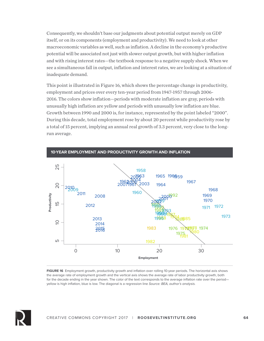Consequently, we shouldn't base our judgments about potential output merely on GDP itself, or on its components (employment and productivity). We need to look at other macroeconomic variables as well, such as inflation. A decline in the economy's productive potential will be associated not just with slower output growth, but with higher inflation and with rising interest rates—the textbook response to a negative supply shock. When we see a simultaneous fall in output, inflation and interest rates, we are looking at a situation of inadequate demand.

This point is illustrated in Figure 16, which shows the percentage change in productivity, employment and prices over every ten-year period from 1947-1957 through 2006- 2016. The colors show inflation—periods with moderate inflation are gray, periods with unusually high inflation are yellow and periods with unusually low inflation are blue. Growth between 1990 and 2000 is, for instance, represented by the point labeled "2000". During this decade, total employment rose by about 20 percent while productivity rose by a total of 15 percent, implying an annual real growth of 3.3 percent, very close to the longrun average.



**-YEAR EMPLOYMENT AND PRODUCTIVITY GROWTH AND INFLATION**

**FIGURE 16** Employment growth, productivity growth and inflation over rolling 10-year periods. The horizontal axis shows the average rate of employment growth and the vertical axis shows the average rate of labor productivity growth, both for the decade ending in the year shown. The color of the text corresponds to the average inflation rate over the period yellow is high inflation, blue is low. The diagonal is a regression line *Source: BEA, author's analysis.*

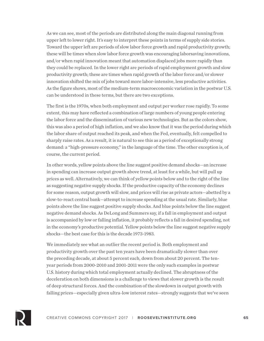As we can see, most of the periods are distributed along the main diagonal running from upper left to lower right. It's easy to interpret these points in terms of supply side stories. Toward the upper left are periods of slow labor force growth and rapid productivity growth; these will be times when slow labor force growth was encouraging laborsaving innovations, and/or when rapid innovation meant that automation displaced jobs more rapidly than they could be replaced. In the lower right are periods of rapid employment growth and slow productivity growth; these are times when rapid growth of the labor force and/or slower innovation shifted the mix of jobs toward more labor-intensive, less productive activities. As the figure shows, most of the medium-term macroeconomic variation in the postwar U.S. can be understood in these terms, but there are two exceptions.

The first is the 1970s, when both employment and output per worker rose rapidly. To some extent, this may have reflected a combination of large numbers of young people entering the labor force and the dissemination of various new technologies. But as the colors show, this was also a period of high inflation, and we also know that it was the period during which the labor share of output reached its peak, and when the Fed, eventually, felt compelled to sharply raise rates. As a result, it is natural to see this as a period of exceptionally strong demand: a "high-pressure economy," in the language of the time. The other exception is, of course, the current period.

In other words, yellow points above the line suggest positive demand shocks—an increase in spending can increase output growth above trend, at least for a while, but will pull up prices as well. Alternatively, we can think of yellow points below and to the right of the line as suggesting negative supply shocks. If the productive capacity of the economy declines for some reason, output growth will slow, and prices will rise as private actors—abetted by a slow-to-react central bank—attempt to increase spending at the usual rate. Similarly, blue points above the line suggest positive supply shocks. And blue points below the line suggest negative demand shocks. As DeLong and Summers say, if a fall in employment and output is accompanied by low or falling inflation, it probably reflects a fall in desired spending, not in the economy's productive potential. Yellow points below the line suggest negative supply shocks—the best case for this is the decade 1973-1983.

We immediately see what an outlier the recent period is. Both employment and productivity growth over the past ten years have been dramatically slower than over the preceding decade, at about 5 percent each, down from about 20 percent. The tenyear periods from 2000-2010 and 2001-2011 were the only such examples in postwar U.S. history during which total employment actually declined. The abruptness of the deceleration on both dimensions is a challenge to views that slower growth is the result of deep structural forces. And the combination of the slowdown in output growth with falling prices—especially given ultra-low interest rates—strongly suggests that we've seen

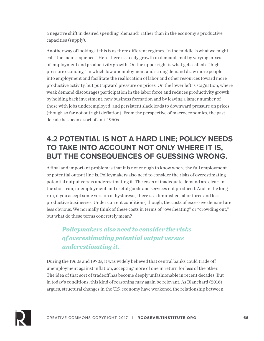a negative shift in desired spending (demand) rather than in the economy's productive capacities (supply).

Another way of looking at this is as three different regimes. In the middle is what we might call "the main sequence." Here there is steady growth in demand, met by varying mixes of employment and productivity growth. On the upper right is what gets called a "highpressure economy," in which low unemployment and strong demand draw more people into employment and facilitate the reallocation of labor and other resources toward more productive activity, but put upward pressure on prices. On the lower left is stagnation, where weak demand discourages participation in the labor force and reduces productivity growth by holding back investment, new business formation and by leaving a larger number of those with jobs underemployed, and persistent slack leads to downward pressure on prices (though so far not outright deflation). From the perspective of macroeconomics, the past decade has been a sort of anti-1960s.

## **4.2 POTENTIAL IS NOT A HARD LINE; POLICY NEEDS TO TAKE INTO ACCOUNT NOT ONLY WHERE IT IS, BUT THE CONSEQUENCES OF GUESSING WRONG.**

A final and important problem is that it is not enough to know where the full employment or potential output line is. Policymakers also need to consider the risks of overestimating potential output versus underestimating it. The costs of inadequate demand are clear: in the short run, unemployment and useful goods and services not produced. And in the long run, if you accept some version of hysteresis, there is a diminished labor force and less productive businesses. Under current conditions, though, the costs of excessive demand are less obvious. We normally think of these costs in terms of "overheating" or "crowding out," but what do these terms concretely mean?

### *Policymakers also need to consider the risks of overestimating potential output versus underestimating it.*

During the 1960s and 1970s, it was widely believed that central banks could trade off unemployment against inflation, accepting more of one in return for less of the other. The idea of that sort of tradeoff has become deeply unfashionable in recent decades. But in today's conditions, this kind of reasoning may again be relevant. As Blanchard (2016) argues, structural changes in the U.S. economy have weakened the relationship between

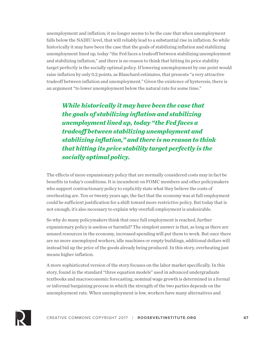unemployment and inflation; it no longer seems to be the case that when unemployment falls below the NAIRU level, that will reliably lead to a substantial rise in inflation. So while historically it may have been the case that the goals of stabilizing inflation and stabilizing unemployment lined up, today "the Fed faces a tradeoff between stabilizing unemployment and stabilizing inflation," and there is no reason to think that hitting its price stability target perfectly is the socially optimal policy. If lowering unemployment by one point would raise inflation by only 0.2 points, as Blanchard estimates, that presents "a very attractive tradeoff between inflation and unemployment." Given the existence of hysteresis, there is an argument "to lower unemployment below the natural rate for some time."

*While historically it may have been the case that the goals of stabilizing inflation and stabilizing unemployment lined up, today "the Fed faces a tradeoff between stabilizing unemployment and stabilizing inflation," and there is no reason to think that hitting its price stability target perfectly is the socially optimal policy.* 

The effects of more expansionary policy that are normally considered costs may in fact be benefits in today's conditions. It is incumbent on FOMC members and other policymakers who support contractionary policy to explicitly state what they believe the costs of overheating are. Ten or twenty years ago, the fact that the economy was at full employment could be sufficient justification for a shift toward more restrictive policy. But today that is not enough; it's also necessary to explain why overfull employment is undesirable.

So why do many policymakers think that once full employment is reached, further expansionary policy is useless or harmful? The simplest answer is that, as long as there are unused resources in the economy, increased spending will put them to work. But once there are no more unemployed workers, idle machines or empty buildings, additional dollars will instead bid up the price of the goods already being produced. In this story, overheating just means higher inflation.

A more sophisticated version of the story focuses on the labor market specifically. In this story, found in the standard "three equation models" used in advanced undergraduate textbooks and macroeconomic forecasting, nominal wage growth is determined in a formal or informal bargaining process in which the strength of the two parties depends on the unemployment rate. When unemployment is low, workers have many alternatives and

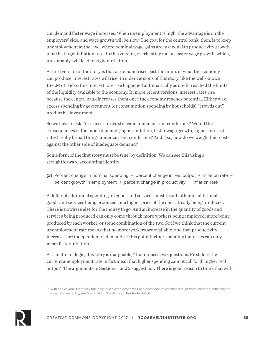can demand faster wage increases. When unemployment is high, the advantage is on the employers' side, and wage growth will be slow. The goal for the central bank, then, is to keep unemployment at the level where nominal wage gains are just equal to productivity growth plus the target inflation rate. In this version, overheating means faster wage growth, which, presumably, will lead to higher inflation.

A third version of the story is that as demand rises past the limits of what the economy can produce, interest rates will rise. In older versions of this story, like the well-known IS-LM of Hicks, this interest rate rise happened automatically as credit reached the limits of the liquidity available to the economy. In more recent versions, interest rates rise because the central bank increases them once the economy reaches potential. Either way, excess spending by government (or consumption spending by households) "crowds out" productive investment.

So we have to ask: Are these stories still valid under current conditions? Would the consequences of too much demand (higher inflation, faster wage growth, higher interest rates) really be bad things under current conditions? And if so, how do we weigh their costs against the other side of inadequate demand?

Some form of the first story must be true, by definition. We can see this using a straightforward accounting identity:

**(3)** Percent change in nominal spending = percent change in real output + inflation rate = percent growth in employment + percent change in productivity + inflation rate

A dollar of additional spending on goods and services must result either in additional goods and services being produced, or a higher price of the ones already being produced. There is nowhere else for the money to go. And an increase in the quantity of goods and services being produced can only come through more workers being employed, more being produced by each worker, or some combination of the two. So if we think that the current unemployment rate means that no more workers are available, and that productivity increases are independent of demand, at this point further spending increases can only mean faster inflation.

As a matter of logic, this story is inarguable,<sup>23</sup> but it raises two questions. First does the current unemployment rate in fact mean that higher spending cannot call forth higher real output? The arguments in Sections 1 and 2 suggest not. There is good reason to think that with



<sup>&</sup>lt;sup>23</sup> With one caveat: It is strictly true only for a closed economy. For a discussion of whether foreign trade creates a constraint for expansionary policy, see Mason 2016, "Dealing with the Trade Deficit".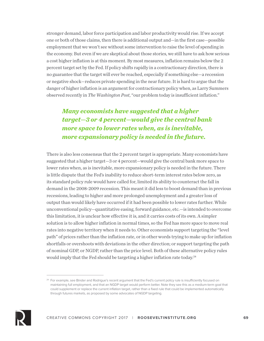stronger demand, labor force participation and labor productivity would rise. If we accept one or both of those claims, then there is additional output and—in the first case—possible employment that we won't see without some intervention to raise the level of spending in the economy. But even if we are skeptical about those stories, we still have to ask how serious a cost higher inflation is at this moment. By most measures, inflation remains below the 2 percent target set by the Fed. If policy shifts rapidly in a contractionary direction, there is no guarantee that the target will ever be reached, especially if something else—a recession or negative shock—reduces private spending in the near future. It is hard to argue that the danger of higher inflation is an argument for contractionary policy when, as Larry Summers observed recently in *The Washington Post*, "our problem today is insufficient inflation."

### *Many economists have suggested that a higher target—3 or 4 percent—would give the central bank more space to lower rates when, as is inevitable, more expansionary policy is needed in the future.*

There is also less consensus that the 2 percent target is appropriate. Many economists have suggested that a higher target—3 or 4 percent—would give the central bank more space to lower rates when, as is inevitable, more expansionary policy is needed in the future. There is little dispute that the Fed's inability to reduce short-term interest rates below zero, as its standard policy rule would have called for, limited its ability to counteract the fall in demand in the 2008-2009 recession. This meant it did less to boost demand than in previous recessions, leading to higher and more prolonged unemployment and a greater loss of output than would likely have occurred if it had been possible to lower rates further. While unconventional policy—quantitative easing, forward guidance, etc.—is intended to overcome this limitation, it is unclear how effective it is, and it carries costs of its own. A simpler solution is to allow higher inflation in normal times, so the Fed has more space to move real rates into negative territory when it needs to. Other economists support targeting the "level path" of prices rather than the inflation rate, or in other words trying to make up for inflation shortfalls or overshoots with deviations in the other direction; or support targeting the path of nominal GDP, or NGDP, rather than the price level. Both of these alternative policy rules would imply that the Fed should be targeting a higher inflation rate today.<sup>24</sup>



<sup>&</sup>lt;sup>24</sup> For example, see Binder and Rodrigue's recent argument that the Fed's current policy rule is insufficiently focused on maintaining full employment, and that an NGDP target would perform better. Note they see this as a medium-term goal that could supplement or replace the current inflation target, rather than a fixed rule that could be implemented automatically through futures markets, as proposed by some advocates of NGDP targeting.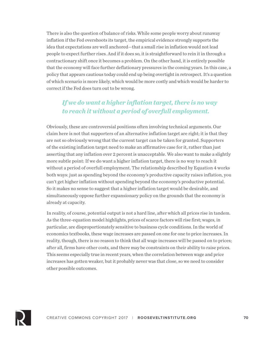There is also the question of balance of risks. While some people worry about runaway inflation if the Fed overshoots its target, the empirical evidence strongly supports the idea that expectations are well anchored—that a small rise in inflation would not lead people to expect further rises. And if it does so, it is straightforward to rein it in through a contractionary shift once it becomes a problem. On the other hand, it is entirely possible that the economy will face further deflationary pressures in the coming years. In this case, a policy that appears cautious today could end up being overtight in retrospect. It's a question of which scenario is more likely, which would be more costly and which would be harder to correct if the Fed does turn out to be wrong.

### *If we do want a higher inflation target, there is no way to reach it without a period of overfull employment.*

Obviously, these are controversial positions often involving technical arguments. Our claim here is not that supporters of an alternative inflation target are right; it is that they are not so obviously wrong that the current target can be taken for granted. Supporters of the existing inflation target need to make an affirmative case for it, rather than just asserting that any inflation over 2 percent is unacceptable. We also want to make a slightly more subtle point: If we do want a higher inflation target, there is no way to reach it without a period of overfull employment. The relationship described by Equation 4 works both ways: just as spending beyond the economy's productive capacity raises inflation, you can't get higher inflation without spending beyond the economy's productive potential. So it makes no sense to suggest that a higher inflation target would be desirable, and simultaneously oppose further expansionary policy on the grounds that the economy is already at capacity.

In reality, of course, potential output is not a hard line, after which all prices rise in tandem. As the three-equation model highlights, prices of scarce factors will rise first; wages, in particular, are disproportionately sensitive to business cycle conditions. In the world of economics textbooks, these wage increases are passed on one for one to price increases. In reality, though, there is no reason to think that all wage increases will be passed on to prices; after all, firms have other costs, and there may be constraints on their ability to raise prices. This seems especially true in recent years, when the correlation between wage and price increases has gotten weaker, but it probably never was that close, so we need to consider other possible outcomes.

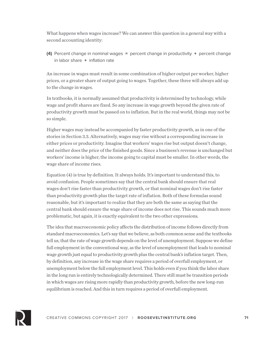What happens when wages increase? We can answer this question in a general way with a second accounting identity:

**(4)** Percent change in nominal wages = percent change in productivity + percent change in labor share + inflation rate

An increase in wages must result in some combination of higher output per worker, higher prices, or a greater share of output going to wages. Together, these three will always add up to the change in wages.

In textbooks, it is normally assumed that productivity is determined by technology, while wage and profit shares are fixed. So any increase in wage growth beyond the given rate of productivity growth must be passed on to inflation. But in the real world, things may not be so simple.

Higher wages may instead be accompanied by faster productivity growth, as in one of the stories in Section 3.3. Alternatively, wages may rise without a corresponding increase in either prices or productivity. Imagine that workers' wages rise but output doesn't change, and neither does the price of the finished goods. Since a business's revenue is unchanged but workers' income is higher, the income going to capital must be smaller. In other words, the wage share of income rises.

Equation (4) is true by definition. It always holds. It's important to understand this, to avoid confusion. People sometimes say that the central bank should ensure that real wages don't rise faster than productivity growth, or that nominal wages don't rise faster than productivity growth plus the target rate of inflation. Both of these formulas sound reasonable, but it's important to realize that they are both the same as saying that the central bank should ensure the wage share of income does not rise. This sounds much more problematic, but again, it is exactly equivalent to the two other expressions.

The idea that macroeconomic policy affects the distribution of income follows directly from standard macroeconomics. Let's say that we believe, as both common sense and the textbooks tell us, that the rate of wage growth depends on the level of unemployment. Suppose we define full employment in the conventional way, as the level of unemployment that leads to nominal wage growth just equal to productivity growth plus the central bank's inflation target. Then, by definition, any increase in the wage share requires a period of overfull employment, or unemployment below the full employment level. This holds even if you think the labor share in the long run is entirely technologically determined. There still must be transition periods in which wages are rising more rapidly than productivity growth, before the new long-run equilibrium is reached. And this in turn requires a period of overfull employment.

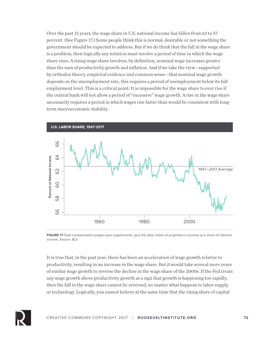Over the past 15 years, the wage share in U.S. national income has fallen from 63 to 57 percent. (See Figure 17.) Some people think this is normal, desirable or not something the government should be expected to address. But if we do think that the fall in the wage share is a problem, then logically any solution must involve a period of time in which the wage share rises. A rising wage share involves, by definition, nominal wage increases greater than the sum of productivity growth and inflation. And if we take the view—supported by orthodox theory, empirical evidence and common sense—that nominal wage growth depends on the unemployment rate, this requires a period of unemployment below its full employment level. This is a critical point: It is impossible for the wage share to ever rise if the central bank will not allow a period of "excessive" wage growth. A rise in the wage share necessarily requires a period in which wages rise faster than would be consistent with longterm macroeconomic stability.



**FIGURE 17** Total compensation (wages plus supplements, plus the labor share of proprietor's income) as a share of national income. *Source: BLS.*

It is true that, in the past year, there has been an acceleration of wage growth relative to productivity, resulting in an increase in the wage share. But it would take several more years of similar wage growth to reverse the decline in the wage share of the 2000s. If the Fed treats any wage growth above productivity growth as a sign that growth is happening too rapidly, then the fall in the wage share cannot be reversed, no matter what happens to labor supply or technology. Logically, you cannot believe at the same time that the rising share of capital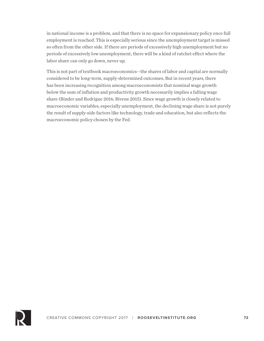in national income is a problem, and that there is no space for expansionary policy once full employment is reached. This is especially serious since the unemployment target is missed so often from the other side. If there are periods of excessively high unemployment but no periods of excessively low unemployment, there will be a kind of ratchet effect where the labor share can only go down, never up.

This is not part of textbook macroeconomics—the shares of labor and capital are normally considered to be long-term, supply-determined outcomes. But in recent years, there has been increasing recognition among macroeconomists that nominal wage growth below the sum of inflation and productivity growth necessarily implies a falling wage share (Binder and Rodrigue 2016; Bivens 2015). Since wage growth is closely related to macroeconomic variables, especially unemployment, the declining wage share is not purely the result of supply-side factors like technology, trade and education, but also reflects the macroeconomic policy chosen by the Fed.

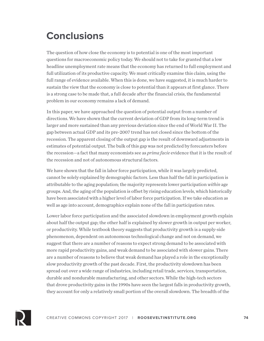## **Conclusions**

The question of how close the economy is to potential is one of the most important questions for macroeconomic policy today. We should not to take for granted that a low headline unemployment rate means that the economy has returned to full employment and full utilization of its productive capacity. We must critically examine this claim, using the full range of evidence available. When this is done, we have suggested, it is much harder to sustain the view that the economy is close to potential than it appears at first glance. There is a strong case to be made that, a full decade after the financial crisis, the fundamental problem in our economy remains a lack of demand.

In this paper, we have approached the question of potential output from a number of directions. We have shown that the current deviation of GDP from its long-term trend is larger and more sustained than any previous deviation since the end of World War II. The gap between actual GDP and its pre-2007 trend has not closed since the bottom of the recession. The apparent closing of the output gap is the result of downward adjustments in estimates of potential output. The bulk of this gap was not predicted by forecasters before the recession—a fact that many economists see as *prima facie* evidence that it is the result of the recession and not of autonomous structural factors.

We have shown that the fall in labor force participation, while it was largely predicted, cannot be solely explained by demographic factors. Less than half the fall in participation is attributable to the aging population; the majority represents lower participation *within* age groups. And, the aging of the population is offset by rising education levels, which historically have been associated with a higher level of labor force participation. If we take education as well as age into account, demographics explain none of the fall in participation rates.

Lower labor force participation and the associated slowdown in employment growth explain about half the output gap; the other half is explained by slower growth in output per worker, or productivity. While textbook theory suggests that productivity growth is a supply-side phenomenon, dependent on autonomous technological change and not on demand, we suggest that there are a number of reasons to expect strong demand to be associated with more rapid productivity gains, and weak demand to be associated with slower gains. There are a number of reasons to believe that weak demand has played a role in the exceptionally slow productivity growth of the past decade. First, the productivity slowdown has been spread out over a wide range of industries, including retail trade, services, transportation, durable and nondurable manufacturing, and other sectors. While the high-tech sectors that drove productivity gains in the 1990s have seen the largest falls in productivity growth, they account for only a relatively small portion of the overall slowdown. The breadth of the

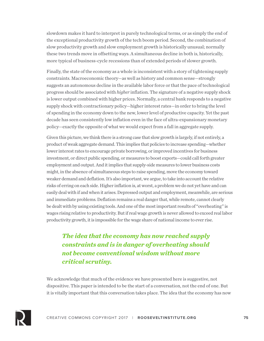slowdown makes it hard to interpret in purely technological terms, or as simply the end of the exceptional productivity growth of the tech boom period. Second, the combination of slow productivity growth and slow employment growth is historically unusual; normally these two trends move in offsetting ways. A simultaneous decline in both is, historically, more typical of business-cycle recessions than of extended periods of slower growth.

Finally, the state of the economy as a whole is inconsistent with a story of tightening supply constraints. Macroeconomic theory—as well as history and common sense—strongly suggests an autonomous decline in the available labor force or that the pace of technological progress should be associated with *higher* inflation. The signature of a negative supply shock is lower output combined with higher prices. Normally, a central bank responds to a negative supply shock with contractionary policy—higher interest rates—in order to bring the level of spending in the economy down to the new, lower level of productive capacity. Yet the past decade has seen consistently low inflation even in the face of ultra-expansionary monetary policy—exactly the opposite of what we would expect from a fall in aggregate supply.

Given this picture, we think there is a strong case that slow growth is largely, if not entirely, a product of weak aggregate demand. This implies that policies to increase spending—whether lower interest rates to encourage private borrowing, or improved incentives for business investment, or direct public spending, or measures to boost exports—could call forth greater employment and output. And it implies that supply-side measures to lower business costs might, in the absence of simultaneous steps to raise spending, move the economy toward weaker demand and deflation. It's also important, we argue, to take into account the relative risks of erring on each side. Higher inflation is, at worst, a problem we do not yet have and can easily deal with if and when it arises. Depressed output and employment, meanwhile, are serious and immediate problems. Deflation remains a real danger that, while remote, cannot clearly be dealt with by using existing tools. And one of the most important results of "overheating" is wages rising relative to productivity. But if real wage growth is never allowed to exceed real labor productivity growth, it is impossible for the wage share of national income to ever rise.

*The idea that the economy has now reached supply constraints and is in danger of overheating should not become conventional wisdom without more critical scrutiny.*

We acknowledge that much of the evidence we have presented here is suggestive, not dispositive. This paper is intended to be the start of a conversation, not the end of one. But it is vitally important that this conversation takes place. The idea that the economy has now

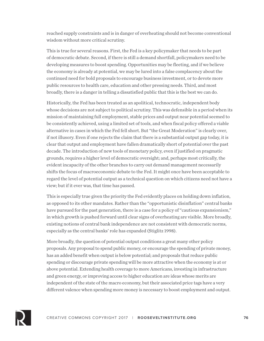reached supply constraints and is in danger of overheating should not become conventional wisdom without more critical scrutiny.

This is true for several reasons. First, the Fed is a key policymaker that needs to be part of democratic debate. Second, if there is still a demand shortfall, policymakers need to be developing measures to boost spending. Opportunities may be fleeting, and if we believe the economy is already at potential, we may be lured into a false complacency about the continued need for bold proposals to encourage business investment, or to devote more public resources to health care, education and other pressing needs. Third, and most broadly, there is a danger in telling a dissatisfied public that this is the best we can do.

Historically, the Fed has been treated as an apolitical, technocratic, independent body whose decisions are not subject to political scrutiny. This was defensible in a period when its mission of maintaining full employment, stable prices and output near potential seemed to be consistently achieved, using a limited set of tools, and when fiscal policy offered a viable alternative in cases in which the Fed fell short. But "the Great Moderation" is clearly over, if not illusory. Even if one rejects the claim that there is a substantial output gap today, it is clear that output and employment have fallen dramatically short of potential over the past decade. The introduction of new tools of monetary policy, even if justified on pragmatic grounds, requires a higher level of democratic oversight; and, perhaps most critically, the evident incapacity of the other branches to carry out demand management necessarily shifts the focus of macroeconomic debate to the Fed. It might once have been acceptable to regard the level of potential output as a technical question on which citizens need not have a view; but if it ever was, that time has passed.

This is especially true given the priority the Fed evidently places on holding down inflation, as opposed to its other mandates. Rather than the "opportunistic disinflation" central banks have pursued for the past generation, there is a case for a policy of "cautious expansionism," in which growth is pushed forward until clear signs of overheating are visible. More broadly, existing notions of central bank independence are not consistent with democratic norms, especially as the central banks' role has expanded (Stiglitz 1998).

More broadly, the question of potential output conditions a great many other policy proposals. Any proposal to spend public money, or encourage the spending of private money, has an added benefit when output is below potential; and proposals that reduce public spending or discourage private spending will be more attractive when the economy is at or above potential. Extending health coverage to more Americans, investing in infrastructure and green energy, or improving access to higher education are ideas whose merits are independent of the state of the macro economy, but their associated price tags have a very different valence when spending more money is necessary to boost employment and output.

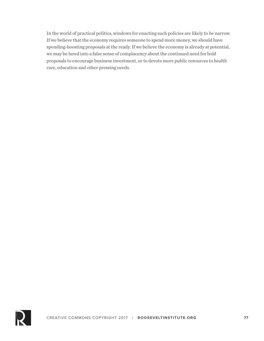In the world of practical politics, windows for enacting such policies are likely to be narrow. If we believe that the economy requires someone to spend more money, we should have spending-boosting proposals at the ready. If we believe the economy is already at potential, we may be lured into a false sense of complacency about the continued need for bold proposals to encourage business investment, or to devote more public resources to health care, education and other pressing needs.

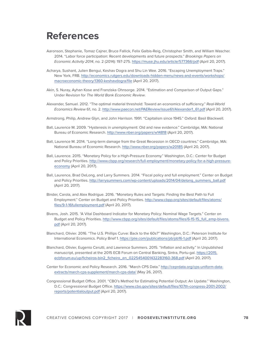## **References**

- Aaronson, Stephanie, Tomaz Cajner, Bruce Fallick, Felix Galbis-Reig, Christopher Smith, and William Wascher. 2014. "Labor force participation: Recent developments and future prospects." *Brookings Papers on Economic Activity 2014*, no. 2 (2014): 197-275. https://muse.jhu.edu/article/577366/pdf (April 20, 2017).
- Acharya, Sushant, Julien Bengui, Keshav Dogra and Shu Lin Wee. 2016. "Escaping Unemployment Traps." New York, FRB. http://economics.rutgers.edu/downloads-hidden-menu/news-and-events/workshops/ macroeconomic-theory/1360-keshavdogra/file (April 20, 2017).
- Akin, S. Nuray, Ayhan Kose and Franziska Ohnsorge. 2014. "Estimation and Comparison of Output Gaps." Under Revision for *The World Bank Economic Review*.
- Alexander, Samuel. 2012. "The optimal material threshold: Toward an economics of sufficiency." *Real-World Economics Review* 61, no. 2. http://www.paecon.net/PAEReview/issue61/Alexander1\_61.pdf (April 20, 2017).
- Armstrong, Philip, Andrew Glyn, and John Harrison. 1991. "Capitalism since 1945." Oxford: Basil Blackwell.
- Ball, Laurence M. 2009. "Hysteresis in unemployment: Old and new evidence." Cambridge, MA: National Bureau of Economic Research. http://www.nber.org/papers/w14818 (April 20, 2017).
- Ball, Laurence M. 2014. "Long-term damage from the Great Recession in OECD countries." Cambridge, MA: National Bureau of Economic Research. http://www.nber.org/papers/w20185 (April 20, 2017).
- Ball, Laurence. 2015. "Monetary Policy for a High-Pressure Economy." Washington, D.C.: Center for Budget and Policy Priorities. http://www.cbpp.org/research/full-employment/monetary-policy-for-a-high-pressureeconomy (April 20, 2017).
- Ball, Laurence, Brad DeLong, and Larry Summers. 2014. "Fiscal policy and full employment." Center on Budget and Policy Priorities. http://larrysummers.com/wp-content/uploads/2014/04/delong\_summers\_ball.pdf (April 20, 2017).
- Binder, Carola, and Alex Rodrigue. 2016. "Monetary Rules and Targets: Finding the Best Path to Full Employment." Center on Budget and Policy Priorities. http://www.cbpp.org/sites/default/files/atoms/ files/9-1-16fullemployment.pdf (April 20, 2017).
- Bivens, Josh. 2015. "A Vital Dashboard Indicator for Monetary Policy: Nominal Wage Targets." Center on Budget and Policy Priorities. http://www.cbpp.org/sites/default/files/atoms/files/6-15-15\_full\_emp-bivens. pdf (April 20, 2017).
- Blanchard, Olivier. 2016. "The U.S. Phillips Curve: Back to the 60s?" Washington, D.C.: Peterson Institute for International Economics. Policy Brief 1. https://piie.com/publications/pb/pb16-1.pdf (April 20, 2017).
- Blanchard, Olivier, Eugenio Cerutti, and Lawrence Summers. 2015. "Inflation and activity." In Unpublished manuscript, presented at the 2015 ECB Forum on Central Banking, Sintra, Portu-gal. https://2015. ecbforum.eu/up/ficheiros-bin2\_ficheiro\_en\_0225454001432283160-368.pdf (April 20, 2017).
- Center for Economic and Policy Research. 2016. "March CPS Data." http://ceprdata.org/cps-uniform-dataextracts/march-cps-supplement/march-cps-data/ (May 26, 2017).

Congressional Budget Office. 2001. "CBO's Method for Estimating Potential Output: An Update." Washington, D.C.: Congressional Budget Office. https://www.cbo.gov/sites/default/files/107th-congress-2001-2002/ reports/potentialoutput.pdf (April 20, 2017).

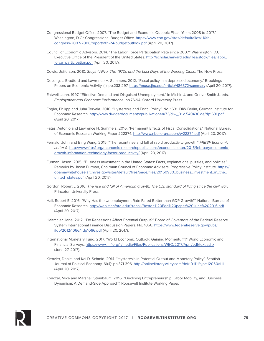- Congressional Budget Office. 2007. "The Budget and Economic Outlook: Fiscal Years 2008 to 2017." Washington, D.C.: Congressional Budget Office. https://www.cbo.gov/sites/default/files/110thcongress-2007-2008/reports/01-24-budgetoutlook.pdf (April 20, 2017).
- Council of Economic Advisors. 2014. "The Labor Force Participation Rate since 2007." Washington, D.C.: Executive Office of the President of the United States. http://scholar.harvard.edu/files/stock/files/labor\_ force\_participation.pdf (April 20, 2017).
- Cowie, Jefferson. 2010. *Stayin' Alive: The 1970s and the Last Days of the Working Class*. The New Press.
- DeLong, J. Bradford and Lawrence H. Summers. 2012. "Fiscal policy in a depressed economy." Brookings Papers on Economic Activity, (1), pp.233-297. https://muse.jhu.edu/article/486372/summary (April 20, 2017).
- Eatwell, John. 1997. "Effective Demand and Disguised Unemployment." In Michie J. and Grieve Smith J., eds, *Employment and Economic Performance*, pp.76-94. Oxford University Press.
- Engler, Philipp and Juha Tervala. 2016. "Hysteresis and Fiscal Policy." No. 1631. DIW Berlin, German Institute for Economic Research. http://www.diw.de/documents/publikationen/73/diw\_01.c.549430.de/dp1631.pdf (April 20, 2017).
- Fatas, Antonio and Lawrence H. Summers. 2016. "Permanent Effects of Fiscal Consolidations." National Bureau of Economic Research Working Paper #22374. http://www.nber.org/papers/w22374.pdf (April 20, 2017).
- Fernald, John and Bing Wang. 2015. "The recent rise and fall of rapid productivity growth." *FRBSF Economic Letter 9*. http://www.frbsf.org/economic-research/publications/economic-letter/2015/february/economicgrowth-information-technology-factor-productivity/ (April 20, 2017).
- Furman, Jason. 2015. "Business investment in the United States: Facts, explanations, puzzles, and policies." Remarks by Jason Furman, Chairman Council of Economic Advisers. Progressive Policy Institute. https:// obamawhitehouse.archives.gov/sites/default/files/page/files/20150930\_business\_investment\_in\_the\_ united states.pdf. (April 20, 2017).
- Gordon, Robert J. 2016. *The rise and fall of American growth: The U.S. standard of living since the civil war*. Princeton University Press.
- Hall, Robert E. 2016. "Why Has the Unemployment Rate Fared Better than GDP Growth?" National Bureau of Economic Research. http://web.stanford.edu/~rehall/Boston%20Fed%20paper%20June%202016.pdf (April 20, 2017).
- Haltmaier, Jane. 2012. "Do Recessions Affect Potential Output?" Board of Governors of the Federal Reserve System International Finance Discussion Papers, No. 1066. https://www.federalreserve.gov/pubs/ ifdp/2012/1066/ifdp1066.pdf (April 20, 2017).
- International Monetary Fund. 2017. "World Economic Outlook: Gaining Momentum?" World Economic and Financial Surveys. https://www.imf.org/~/media/Files/Publications/WEO/2017/April/pdf/text.ashx (June 27, 2017).
- Kienzler, Daniel and Kai D. Schmid. 2014. "Hysteresis in Potential Output and Monetary Policy." Scottish Journal of Political Economy, 61(4): pp.371-396. http://onlinelibrary.wiley.com/doi/10.1111/sjpe.12050/full (April 20, 2017).
- Konczal, Mike and Marshall Steinbaum. 2016. "Declining Entrepreneurship, Labor Mobility, and Business Dynamism: A Demand-Side Approach". Roosevelt Institute Working Paper.

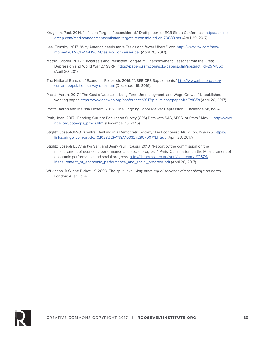- Krugman, Paul. 2014. "Inflation Targets Reconsidered." Draft paper for ECB Sintra Conference. https://online. ercep.com/media/attachments/inflation-targets-reconsidered-en-70089.pdf (April 20, 2017).
- Lee, Timothy. 2017. "Why America needs more Teslas and fewer Ubers." Vox. http://www.vox.com/newmoney/2017/3/16/14939624/tesla-billion-raise-uber (April 20, 2017).
- Mathy, Gabriel. 2015. "Hysteresis and Persistent Long-term Unemployment: Lessons from the Great Depression and World War 2." SSRN. https://papers.ssrn.com/sol3/papers.cfm?abstract\_id=2574850 (April 20, 2017).
- The National Bureau of Economic Research. 2016. "NBER CPS Supplements." http://www.nber.org/data/ current-population-survey-data.html (December 16, 2016).
- Pacitti, Aaron. 2017. "The Cost of Job Loss, Long-Term Unemployment, and Wage Growth." Unpublished working paper. https://www.aeaweb.org/conference/2017/preliminary/paper/KhFtdG5s (April 20, 2017).
- Pacitti, Aaron and Melissa Fichera. 2015. "The Ongoing Labor Market Depression." Challenge 58, no. 4.
- Roth, Jean. 2017. "Reading Current Population Survey (CPS) Data with SAS, SPSS, or Stata." May 11. http://www. nber.org/data/cps\_progs.html (December 16, 2016).
- Stiglitz, Joseph.1998. "Central Banking in a Democratic Society." De Economist. 146(2), pp. 199-226. https:// link.springer.com/article/10.1023%2FA%3A1003272907007?LI=true (April 20, 2017).
- Stiglitz, Joseph E., Amartya Sen, and Jean-Paul Fitoussi. 2010. "Report by the commission on the measurement of economic performance and social progress." Paris: Commission on the Measurement of economic performance and social progress. http://library.bsl.org.au/jspui/bitstream/1/1267/1/ Measurement\_of\_economic\_performance\_and\_social\_progress.pdf (April 20, 2017).
- Wilkinson, R.G. and Pickett, K. 2009. The spirit level: *Why more equal societies almost always do better*. London: Allen Lane.